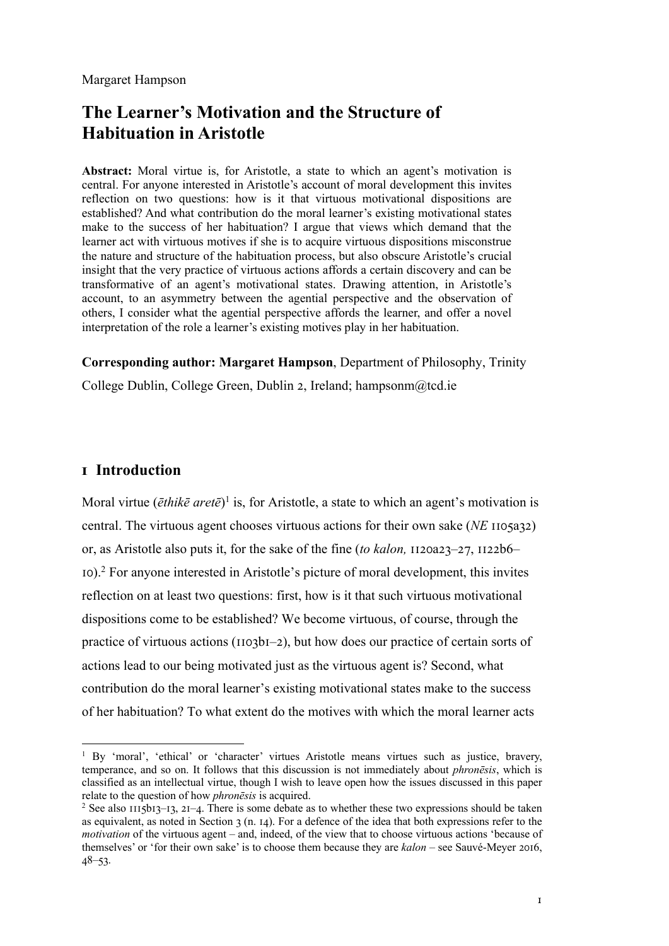Margaret Hampson

# **The Learner's Motivation and the Structure of Habituation in Aristotle**

**Abstract:** Moral virtue is, for Aristotle, a state to which an agent's motivation is central. For anyone interested in Aristotle's account of moral development this invites reflection on two questions: how is it that virtuous motivational dispositions are established? And what contribution do the moral learner's existing motivational states make to the success of her habituation? I argue that views which demand that the learner act with virtuous motives if she is to acquire virtuous dispositions misconstrue the nature and structure of the habituation process, but also obscure Aristotle's crucial insight that the very practice of virtuous actions affords a certain discovery and can be transformative of an agent's motivational states. Drawing attention, in Aristotle's account, to an asymmetry between the agential perspective and the observation of others, I consider what the agential perspective affords the learner, and offer a novel interpretation of the role a learner's existing motives play in her habituation.

### **Corresponding author: Margaret Hampson**, Department of Philosophy, Trinity

College Dublin, College Green, Dublin 2, Ireland; hampsonm@tcd.ie

## **! Introduction**

Moral virtue (*ēthikē aretē*) <sup>1</sup> is, for Aristotle, a state to which an agent's motivation is central. The virtuous agent chooses virtuous actions for their own sake *(NE* 1105a32) or, as Aristotle also puts it, for the sake of the fine *(to kalon, II* $20a23-27$ ,  $1122b6 I$ <sub>10</sub>).<sup>2</sup> For anyone interested in Aristotle's picture of moral development, this invites reflection on at least two questions: first, how is it that such virtuous motivational dispositions come to be established? We become virtuous, of course, through the practice of virtuous actions ( $1103bI-2$ ), but how does our practice of certain sorts of actions lead to our being motivated just as the virtuous agent is? Second, what contribution do the moral learner's existing motivational states make to the success of her habituation? To what extent do the motives with which the moral learner acts

<sup>&</sup>lt;sup>1</sup> By 'moral', 'ethical' or 'character' virtues Aristotle means virtues such as justice, bravery, temperance, and so on. It follows that this discussion is not immediately about *phronēsis*, which is classified as an intellectual virtue, though I wish to leave open how the issues discussed in this paper relate to the question of how *phronēsis* is acquired.

<sup>&</sup>lt;sup>2</sup> See also  $115b13-13$ ,  $21-4$ . There is some debate as to whether these two expressions should be taken as equivalent, as noted in Section  $3(n. 14)$ . For a defence of the idea that both expressions refer to the *motivation* of the virtuous agent – and, indeed, of the view that to choose virtuous actions 'because of themselves' or 'for their own sake' is to choose them because they are *kalon* – see Sauvé-Meyer 2016,  $48 - 53$ .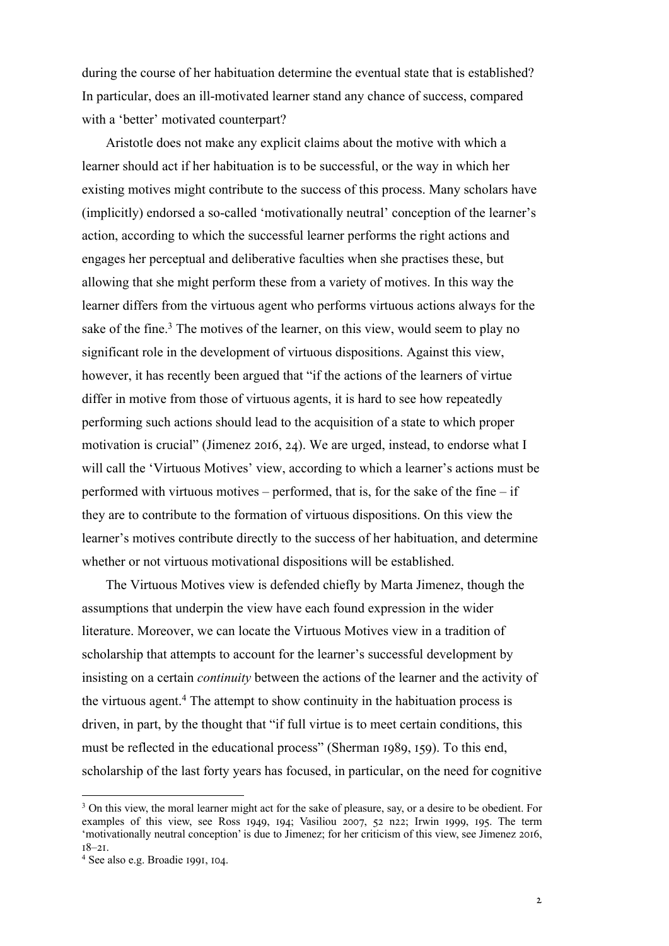during the course of her habituation determine the eventual state that is established? In particular, does an ill-motivated learner stand any chance of success, compared with a 'better' motivated counterpart?

Aristotle does not make any explicit claims about the motive with which a learner should act if her habituation is to be successful, or the way in which her existing motives might contribute to the success of this process. Many scholars have (implicitly) endorsed a so-called 'motivationally neutral' conception of the learner's action, according to which the successful learner performs the right actions and engages her perceptual and deliberative faculties when she practises these, but allowing that she might perform these from a variety of motives. In this way the learner differs from the virtuous agent who performs virtuous actions always for the sake of the fine.<sup>3</sup> The motives of the learner, on this view, would seem to play no significant role in the development of virtuous dispositions. Against this view, however, it has recently been argued that "if the actions of the learners of virtue differ in motive from those of virtuous agents, it is hard to see how repeatedly performing such actions should lead to the acquisition of a state to which proper motivation is crucial" (Jimenez 2016, 24). We are urged, instead, to endorse what I will call the 'Virtuous Motives' view, according to which a learner's actions must be performed with virtuous motives – performed, that is, for the sake of the fine – if they are to contribute to the formation of virtuous dispositions. On this view the learner's motives contribute directly to the success of her habituation, and determine whether or not virtuous motivational dispositions will be established.

The Virtuous Motives view is defended chiefly by Marta Jimenez, though the assumptions that underpin the view have each found expression in the wider literature. Moreover, we can locate the Virtuous Motives view in a tradition of scholarship that attempts to account for the learner's successful development by insisting on a certain *continuity* between the actions of the learner and the activity of the virtuous agent.4 The attempt to show continuity in the habituation process is driven, in part, by the thought that "if full virtue is to meet certain conditions, this must be reflected in the educational process" (Sherman  $1989, 159$ ). To this end, scholarship of the last forty years has focused, in particular, on the need for cognitive

<sup>&</sup>lt;sup>3</sup> On this view, the moral learner might act for the sake of pleasure, say, or a desire to be obedient. For examples of this view, see Ross 1949, 194; Vasiliou 2007, 52 n22; Irwin 1999, 195. The term 'motivationally neutral conception' is due to Jimenez; for her criticism of this view, see Jimenez 2016,  $18 - 21$ .

<sup>&</sup>lt;sup>4</sup> See also e.g. Broadie 1991, 104.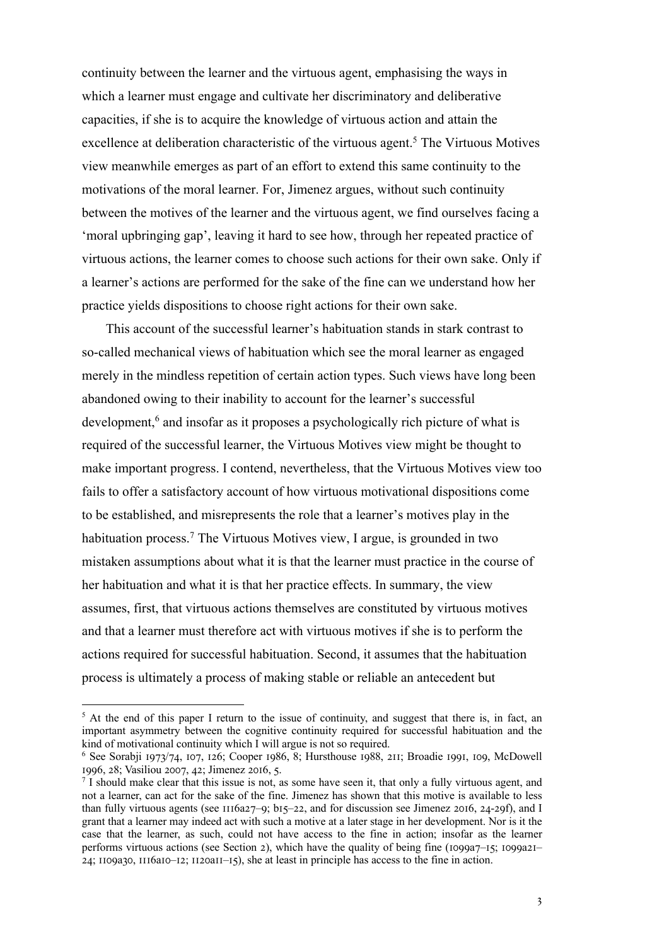continuity between the learner and the virtuous agent, emphasising the ways in which a learner must engage and cultivate her discriminatory and deliberative capacities, if she is to acquire the knowledge of virtuous action and attain the excellence at deliberation characteristic of the virtuous agent.<sup>5</sup> The Virtuous Motives view meanwhile emerges as part of an effort to extend this same continuity to the motivations of the moral learner. For, Jimenez argues, without such continuity between the motives of the learner and the virtuous agent, we find ourselves facing a 'moral upbringing gap', leaving it hard to see how, through her repeated practice of virtuous actions, the learner comes to choose such actions for their own sake. Only if a learner's actions are performed for the sake of the fine can we understand how her practice yields dispositions to choose right actions for their own sake.

This account of the successful learner's habituation stands in stark contrast to so-called mechanical views of habituation which see the moral learner as engaged merely in the mindless repetition of certain action types. Such views have long been abandoned owing to their inability to account for the learner's successful development, <sup>6</sup> and insofar as it proposes a psychologically rich picture of what is required of the successful learner, the Virtuous Motives view might be thought to make important progress. I contend, nevertheless, that the Virtuous Motives view too fails to offer a satisfactory account of how virtuous motivational dispositions come to be established, and misrepresents the role that a learner's motives play in the habituation process.<sup>7</sup> The Virtuous Motives view, I argue, is grounded in two mistaken assumptions about what it is that the learner must practice in the course of her habituation and what it is that her practice effects. In summary, the view assumes, first, that virtuous actions themselves are constituted by virtuous motives and that a learner must therefore act with virtuous motives if she is to perform the actions required for successful habituation. Second, it assumes that the habituation process is ultimately a process of making stable or reliable an antecedent but

<sup>5</sup> At the end of this paper I return to the issue of continuity, and suggest that there is, in fact, an important asymmetry between the cognitive continuity required for successful habituation and the kind of motivational continuity which I will argue is not so required.

 $6$  See Sorabji 1973/74, 107, 126; Cooper 1986, 8; Hursthouse 1988, 211; Broadie 1991, 109, McDowell 1996, 28; Vasiliou 2007, 42; Jimenez 2016, 5.

<sup>7</sup> I should make clear that this issue is not, as some have seen it, that only a fully virtuous agent, and not a learner, can act for the sake of the fine. Jimenez has shown that this motive is available to less than fully virtuous agents (see  $1116a27-9$ ; b15–22, and for discussion see Jimenez 2016, 24-29f), and I grant that a learner may indeed act with such a motive at a later stage in her development. Nor is it the case that the learner, as such, could not have access to the fine in action; insofar as the learner performs virtuous actions (see Section 2), which have the quality of being fine ( $1099a7-15$ ;  $1099a21 24$ ; 1109a30, 1116a10–12; 1120a11–15), she at least in principle has access to the fine in action.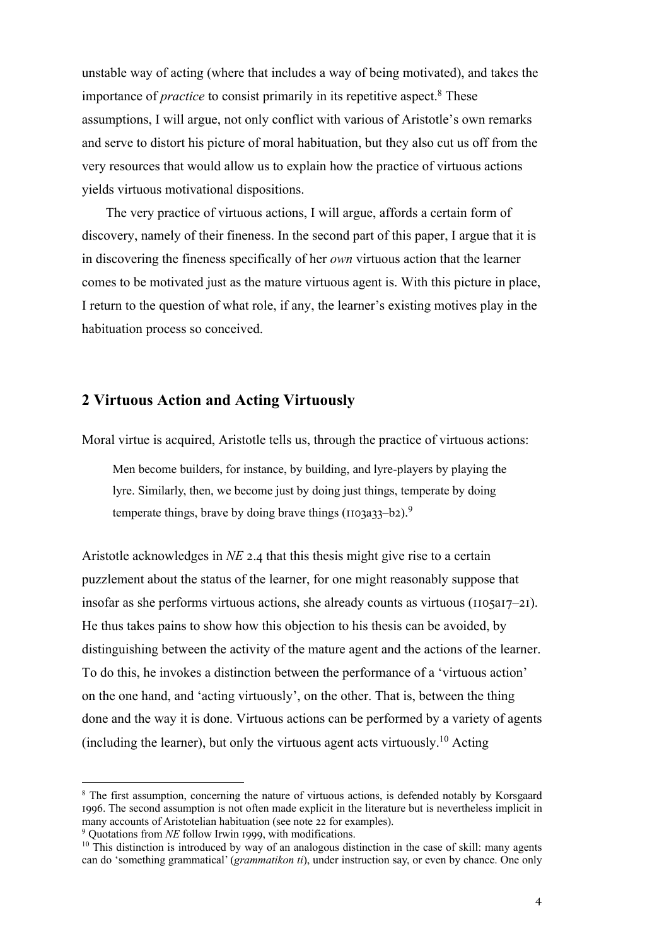unstable way of acting (where that includes a way of being motivated), and takes the importance of *practice* to consist primarily in its repetitive aspect. <sup>8</sup> These assumptions, I will argue, not only conflict with various of Aristotle's own remarks and serve to distort his picture of moral habituation, but they also cut us off from the very resources that would allow us to explain how the practice of virtuous actions yields virtuous motivational dispositions.

The very practice of virtuous actions, I will argue, affords a certain form of discovery, namely of their fineness. In the second part of this paper, I argue that it is in discovering the fineness specifically of her *own* virtuous action that the learner comes to be motivated just as the mature virtuous agent is. With this picture in place, I return to the question of what role, if any, the learner's existing motives play in the habituation process so conceived.

## **2 Virtuous Action and Acting Virtuously**

Moral virtue is acquired, Aristotle tells us, through the practice of virtuous actions:

Men become builders, for instance, by building, and lyre-players by playing the lyre. Similarly, then, we become just by doing just things, temperate by doing temperate things, brave by doing brave things ( $1103a33-b2$ ).<sup>9</sup>

Aristotle acknowledges in *NE* 2.4 that this thesis might give rise to a certain puzzlement about the status of the learner, for one might reasonably suppose that insofar as she performs virtuous actions, she already counts as virtuous ( $1105a17-21$ ). He thus takes pains to show how this objection to his thesis can be avoided, by distinguishing between the activity of the mature agent and the actions of the learner. To do this, he invokes a distinction between the performance of a 'virtuous action' on the one hand, and 'acting virtuously', on the other. That is, between the thing done and the way it is done. Virtuous actions can be performed by a variety of agents (including the learner), but only the virtuous agent acts virtuously.<sup>10</sup> Acting

<sup>&</sup>lt;sup>8</sup> The first assumption, concerning the nature of virtuous actions, is defended notably by Korsgaard 1996. The second assumption is not often made explicit in the literature but is nevertheless implicit in many accounts of Aristotelian habituation (see note 22 for examples).  $9$  Quotations from *NE* follow Irwin 1999, with modifications.

<sup>&</sup>lt;sup>10</sup> This distinction is introduced by way of an analogous distinction in the case of skill: many agents can do 'something grammatical' (*grammatikon ti*), under instruction say, or even by chance. One only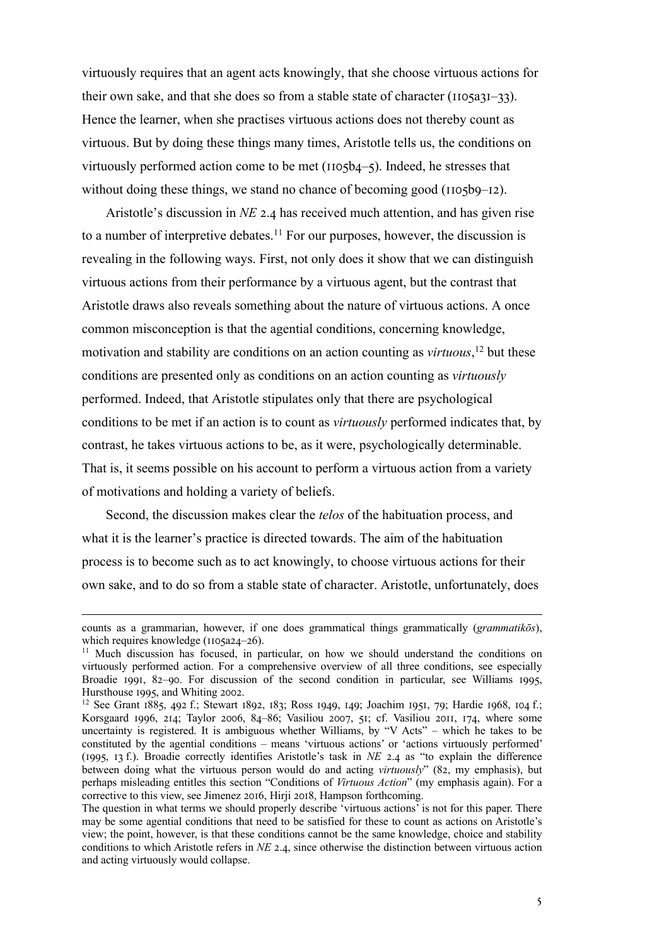virtuously requires that an agent acts knowingly, that she choose virtuous actions for their own sake, and that she does so from a stable state of character ( $1105a31-33$ ). Hence the learner, when she practises virtuous actions does not thereby count as virtuous. But by doing these things many times, Aristotle tells us, the conditions on virtuously performed action come to be met  $(IIO5b4–5)$ . Indeed, he stresses that without doing these things, we stand no chance of becoming good ( $1105b9-12$ ).

Aristotle's discussion in  $NE$  2.4 has received much attention, and has given rise to a number of interpretive debates.<sup>11</sup> For our purposes, however, the discussion is revealing in the following ways. First, not only does it show that we can distinguish virtuous actions from their performance by a virtuous agent, but the contrast that Aristotle draws also reveals something about the nature of virtuous actions. A once common misconception is that the agential conditions, concerning knowledge, motivation and stability are conditions on an action counting as *virtuous*, <sup>12</sup> but these conditions are presented only as conditions on an action counting as *virtuously* performed. Indeed, that Aristotle stipulates only that there are psychological conditions to be met if an action is to count as *virtuously* performed indicates that, by contrast, he takes virtuous actions to be, as it were, psychologically determinable. That is, it seems possible on his account to perform a virtuous action from a variety of motivations and holding a variety of beliefs.

Second, the discussion makes clear the *telos* of the habituation process, and what it is the learner's practice is directed towards. The aim of the habituation process is to become such as to act knowingly, to choose virtuous actions for their own sake, and to do so from a stable state of character. Aristotle, unfortunately, does

counts as a grammarian, however, if one does grammatical things grammatically (*grammatikōs*), which requires knowledge ( $1105a24-26$ ).

<sup>&</sup>lt;sup>11</sup> Much discussion has focused, in particular, on how we should understand the conditions on virtuously performed action. For a comprehensive overview of all three conditions, see especially Broadie 1991, 82-90. For discussion of the second condition in particular, see Williams 1995, Hursthouse 1995, and Whiting 2002.

 $12$  See Grant 1885, 492 f.; Stewart 1892, 183; Ross 1949, 149; Joachim 1951, 79; Hardie 1968, 104 f.; Korsgaard 1996, 214; Taylor 2006, 84-86; Vasiliou 2007, 51; cf. Vasiliou 2011, 174, where some uncertainty is registered. It is ambiguous whether Williams, by "V Acts" – which he takes to be constituted by the agential conditions – means 'virtuous actions' or 'actions virtuously performed' (1995, 13 f.). Broadie correctly identifies Aristotle's task in  $NE$  2.4 as "to explain the difference between doing what the virtuous person would do and acting *virtuously*" (82, my emphasis), but perhaps misleading entitles this section "Conditions of *Virtuous Action*" (my emphasis again). For a corrective to this view, see Jimenez 2016, Hirji 2018, Hampson forthcoming.

The question in what terms we should properly describe 'virtuous actions' is not for this paper. There may be some agential conditions that need to be satisfied for these to count as actions on Aristotle's view; the point, however, is that these conditions cannot be the same knowledge, choice and stability conditions to which Aristotle refers in *NE* 2.4, since otherwise the distinction between virtuous action and acting virtuously would collapse.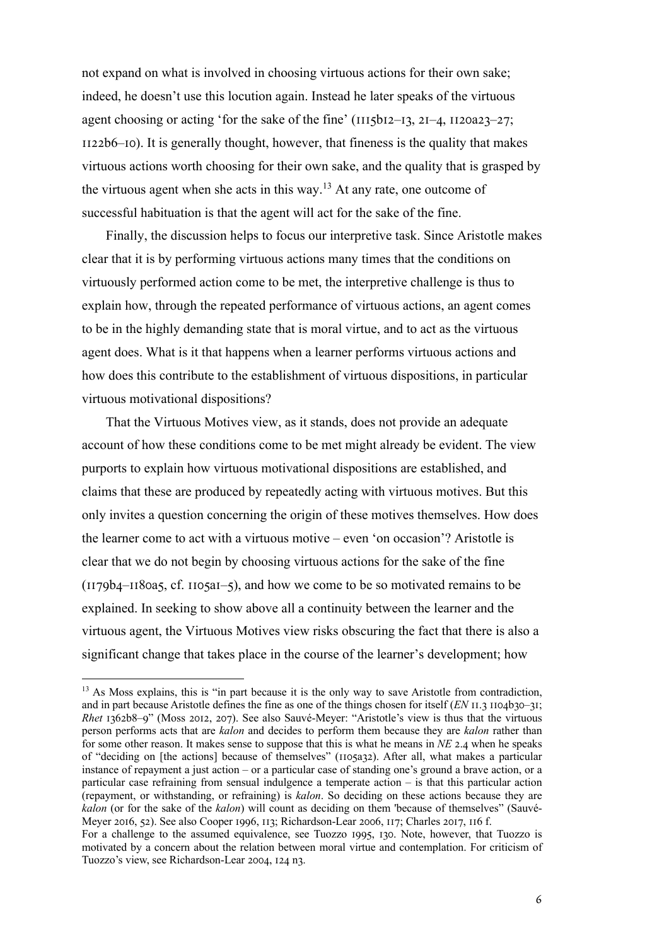not expand on what is involved in choosing virtuous actions for their own sake; indeed, he doesn't use this locution again. Instead he later speaks of the virtuous agent choosing or acting 'for the sake of the fine'  $(III5bI2-I3, 2I-4, II20a23-27;$  $I122b6-10$ . It is generally thought, however, that fineness is the quality that makes virtuous actions worth choosing for their own sake, and the quality that is grasped by the virtuous agent when she acts in this way.<sup>13</sup> At any rate, one outcome of successful habituation is that the agent will act for the sake of the fine.

Finally, the discussion helps to focus our interpretive task. Since Aristotle makes clear that it is by performing virtuous actions many times that the conditions on virtuously performed action come to be met, the interpretive challenge is thus to explain how, through the repeated performance of virtuous actions, an agent comes to be in the highly demanding state that is moral virtue, and to act as the virtuous agent does. What is it that happens when a learner performs virtuous actions and how does this contribute to the establishment of virtuous dispositions, in particular virtuous motivational dispositions?

That the Virtuous Motives view, as it stands, does not provide an adequate account of how these conditions come to be met might already be evident. The view purports to explain how virtuous motivational dispositions are established, and claims that these are produced by repeatedly acting with virtuous motives. But this only invites a question concerning the origin of these motives themselves. How does the learner come to act with a virtuous motive – even 'on occasion'? Aristotle is clear that we do not begin by choosing virtuous actions for the sake of the fine  $(1179b4–1180a5, cf. 1105aI–5)$ , and how we come to be so motivated remains to be explained. In seeking to show above all a continuity between the learner and the virtuous agent, the Virtuous Motives view risks obscuring the fact that there is also a significant change that takes place in the course of the learner's development; how

<sup>&</sup>lt;sup>13</sup> As Moss explains, this is "in part because it is the only way to save Aristotle from contradiction, and in part because Aristotle defines the fine as one of the things chosen for itself  $(EN \Pi.3 \Pi 04 \Delta 0 - 3I)$ ; *Rhet* 1362b8–9" (Moss 2012, 207). See also Sauvé-Meyer: "Aristotle's view is thus that the virtuous person performs acts that are *kalon* and decides to perform them because they are *kalon* rather than for some other reason. It makes sense to suppose that this is what he means in *NE* 2.4 when he speaks of "deciding on [the actions] because of themselves" ( $1105a32$ ). After all, what makes a particular instance of repayment a just action – or a particular case of standing one's ground a brave action, or a particular case refraining from sensual indulgence a temperate action – is that this particular action (repayment, or withstanding, or refraining) is *kalon*. So deciding on these actions because they are *kalon* (or for the sake of the *kalon*) will count as deciding on them 'because of themselves" (Sauvé-Meyer 2016, 52). See also Cooper 1996, 113; Richardson-Lear 2006, 117; Charles 2017, 116 f.

For a challenge to the assumed equivalence, see Tuozzo 1995, 130. Note, however, that Tuozzo is motivated by a concern about the relation between moral virtue and contemplation. For criticism of Tuozzo's view, see Richardson-Lear 2004, 124 n3.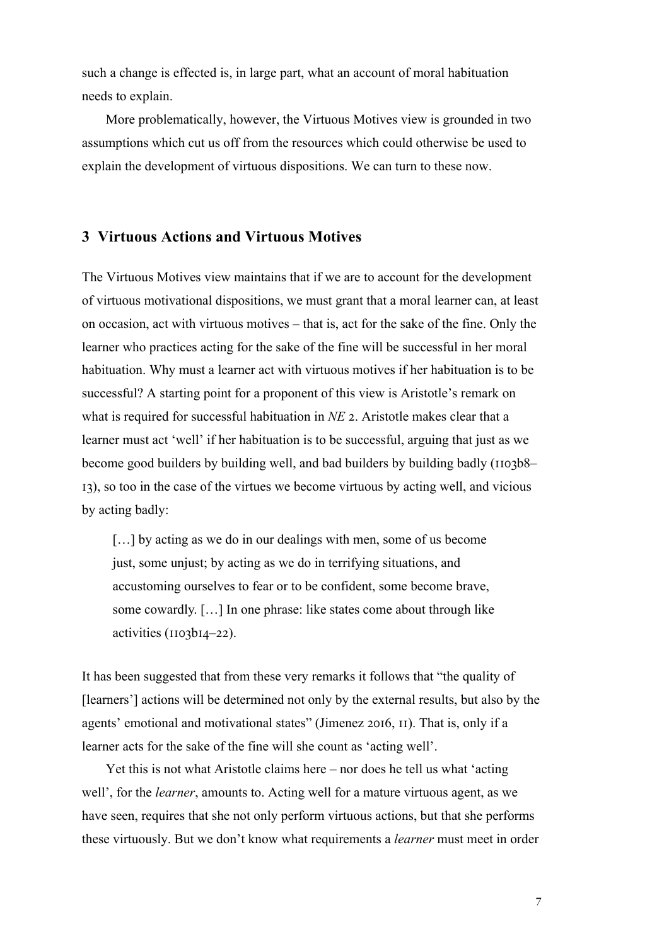such a change is effected is, in large part, what an account of moral habituation needs to explain.

More problematically, however, the Virtuous Motives view is grounded in two assumptions which cut us off from the resources which could otherwise be used to explain the development of virtuous dispositions. We can turn to these now.

### **3 Virtuous Actions and Virtuous Motives**

The Virtuous Motives view maintains that if we are to account for the development of virtuous motivational dispositions, we must grant that a moral learner can, at least on occasion, act with virtuous motives – that is, act for the sake of the fine. Only the learner who practices acting for the sake of the fine will be successful in her moral habituation. Why must a learner act with virtuous motives if her habituation is to be successful? A starting point for a proponent of this view is Aristotle's remark on what is required for successful habituation in *NE* 2. Aristotle makes clear that a learner must act 'well' if her habituation is to be successful, arguing that just as we become good builders by building well, and bad builders by building badly ( $1103b8$ – I3), so too in the case of the virtues we become virtuous by acting well, and vicious by acting badly:

[...] by acting as we do in our dealings with men, some of us become just, some unjust; by acting as we do in terrifying situations, and accustoming ourselves to fear or to be confident, some become brave, some cowardly. […] In one phrase: like states come about through like activities (IIO3bI4–22).

It has been suggested that from these very remarks it follows that "the quality of [learners'] actions will be determined not only by the external results, but also by the agents' emotional and motivational states" (Jimenez 2016,  $II$ ). That is, only if a learner acts for the sake of the fine will she count as 'acting well'.

Yet this is not what Aristotle claims here – nor does he tell us what 'acting well', for the *learner*, amounts to. Acting well for a mature virtuous agent, as we have seen, requires that she not only perform virtuous actions, but that she performs these virtuously. But we don't know what requirements a *learner* must meet in order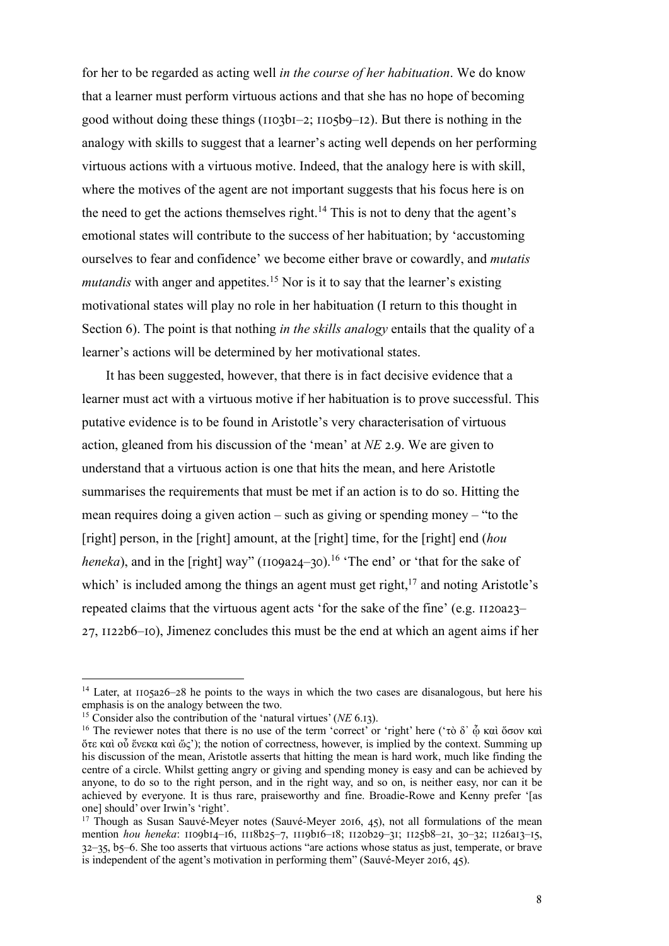for her to be regarded as acting well *in the course of her habituation*. We do know that a learner must perform virtuous actions and that she has no hope of becoming good without doing these things  $(IIO3bI-2; IIO5b9-I2)$ . But there is nothing in the analogy with skills to suggest that a learner's acting well depends on her performing virtuous actions with a virtuous motive. Indeed, that the analogy here is with skill, where the motives of the agent are not important suggests that his focus here is on the need to get the actions themselves right.<sup>14</sup> This is not to deny that the agent's emotional states will contribute to the success of her habituation; by 'accustoming ourselves to fear and confidence' we become either brave or cowardly, and *mutatis mutandis* with anger and appetites.<sup>15</sup> Nor is it to say that the learner's existing motivational states will play no role in her habituation (I return to this thought in Section 6). The point is that nothing *in the skills analogy* entails that the quality of a learner's actions will be determined by her motivational states.

It has been suggested, however, that there is in fact decisive evidence that a learner must act with a virtuous motive if her habituation is to prove successful. This putative evidence is to be found in Aristotle's very characterisation of virtuous action, gleaned from his discussion of the 'mean' at *NE* 2.9. We are given to understand that a virtuous action is one that hits the mean, and here Aristotle summarises the requirements that must be met if an action is to do so. Hitting the mean requires doing a given action – such as giving or spending money – "to the [right] person, in the [right] amount, at the [right] time, for the [right] end (*hou heneka*), and in the [right] way" ( $1109a24-30$ ).<sup>16</sup> 'The end' or 'that for the sake of which' is included among the things an agent must get right.<sup>17</sup> and noting Aristotle's repeated claims that the virtuous agent acts 'for the sake of the fine' (e.g.  $1120a23 27$ ,  $1122b6$ –IO), Jimenez concludes this must be the end at which an agent aims if her

 $14$  Later, at  $1105a26-28$  he points to the ways in which the two cases are disanalogous, but here his emphasis is on the analogy between the two.

<sup>&</sup>lt;sup>15</sup> Consider also the contribution of the 'natural virtues' (*NE* 6.13).

<sup>&</sup>lt;sup>16</sup> The reviewer notes that there is no use of the term 'correct' or 'right' here ('τὸ δ' <u></u>ỗ καὶ ὅσον καὶ ὅτε καὶ οὗ ἕνεκα καὶ ὥς'); the notion of correctness, however, is implied by the context. Summing up his discussion of the mean, Aristotle asserts that hitting the mean is hard work, much like finding the centre of a circle. Whilst getting angry or giving and spending money is easy and can be achieved by anyone, to do so to the right person, and in the right way, and so on, is neither easy, nor can it be achieved by everyone. It is thus rare, praiseworthy and fine. Broadie-Rowe and Kenny prefer '[as one] should' over Irwin's 'right'.

<sup>&</sup>lt;sup>17</sup> Though as Susan Sauvé-Meyer notes (Sauvé-Meyer 2016, 45), not all formulations of the mean mention *hou heneka*: 1109b14-16, 1118b25-7, 1119b16-18; 1120b29-31; 1125b8-21, 30-32; 1126a13-15,  $32-35$ ,  $b5-6$ . She too asserts that virtuous actions "are actions whose status as just, temperate, or brave is independent of the agent's motivation in performing them" (Sauvé-Meyer 2016, 45).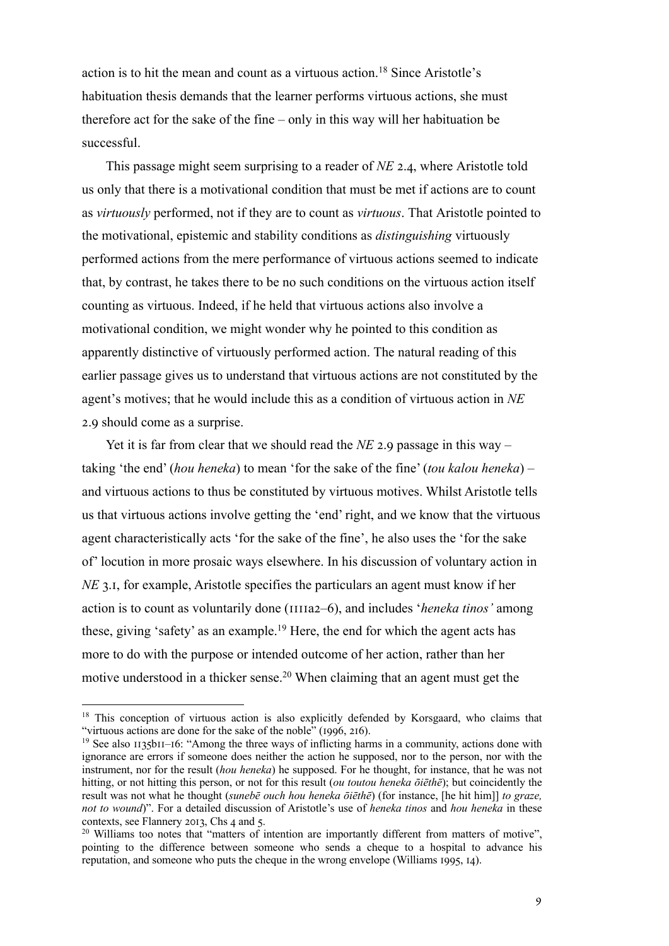action is to hit the mean and count as a virtuous action.<sup>18</sup> Since Aristotle's habituation thesis demands that the learner performs virtuous actions, she must therefore act for the sake of the fine – only in this way will her habituation be successful.

This passage might seem surprising to a reader of *NE* 2.4, where Aristotle told us only that there is a motivational condition that must be met if actions are to count as *virtuously* performed, not if they are to count as *virtuous*. That Aristotle pointed to the motivational, epistemic and stability conditions as *distinguishing* virtuously performed actions from the mere performance of virtuous actions seemed to indicate that, by contrast, he takes there to be no such conditions on the virtuous action itself counting as virtuous. Indeed, if he held that virtuous actions also involve a motivational condition, we might wonder why he pointed to this condition as apparently distinctive of virtuously performed action. The natural reading of this earlier passage gives us to understand that virtuous actions are not constituted by the agent's motives; that he would include this as a condition of virtuous action in *NE*  2.9 should come as a surprise.

Yet it is far from clear that we should read the  $NE$  2.9 passage in this way – taking 'the end' (*hou heneka*) to mean 'for the sake of the fine' (*tou kalou heneka*) – and virtuous actions to thus be constituted by virtuous motives. Whilst Aristotle tells us that virtuous actions involve getting the 'end' right, and we know that the virtuous agent characteristically acts 'for the sake of the fine', he also uses the 'for the sake of' locution in more prosaic ways elsewhere. In his discussion of voluntary action in *NE* 3.1, for example, Aristotle specifies the particulars an agent must know if her action is to count as voluntarily done (IIIIa2–6), and includes '*heneka tinos*' among these, giving 'safety' as an example.<sup>19</sup> Here, the end for which the agent acts has more to do with the purpose or intended outcome of her action, rather than her motive understood in a thicker sense.<sup>20</sup> When claiming that an agent must get the

<sup>&</sup>lt;sup>18</sup> This conception of virtuous action is also explicitly defended by Korsgaard, who claims that "virtuous actions are done for the sake of the noble" (1996, 216).

<sup>&</sup>lt;sup>19</sup> See also  $1135$ b<sub>11</sub>–16: "Among the three ways of inflicting harms in a community, actions done with ignorance are errors if someone does neither the action he supposed, nor to the person, nor with the instrument, nor for the result (*hou heneka*) he supposed. For he thought, for instance, that he was not hitting, or not hitting this person, or not for this result (*ou toutou heneka ōiēthē*); but coincidently the result was not what he thought (*sunebē ouch hou heneka ōiēthē*) (for instance, [he hit him]] *to graze, not to wound*)". For a detailed discussion of Aristotle's use of *heneka tinos* and *hou heneka* in these contexts, see Flannery 2013, Chs 4 and 5.

<sup>&</sup>lt;sup>20</sup> Williams too notes that "matters of intention are importantly different from matters of motive", pointing to the difference between someone who sends a cheque to a hospital to advance his reputation, and someone who puts the cheque in the wrong envelope (Williams  $1995$ ,  $14$ ).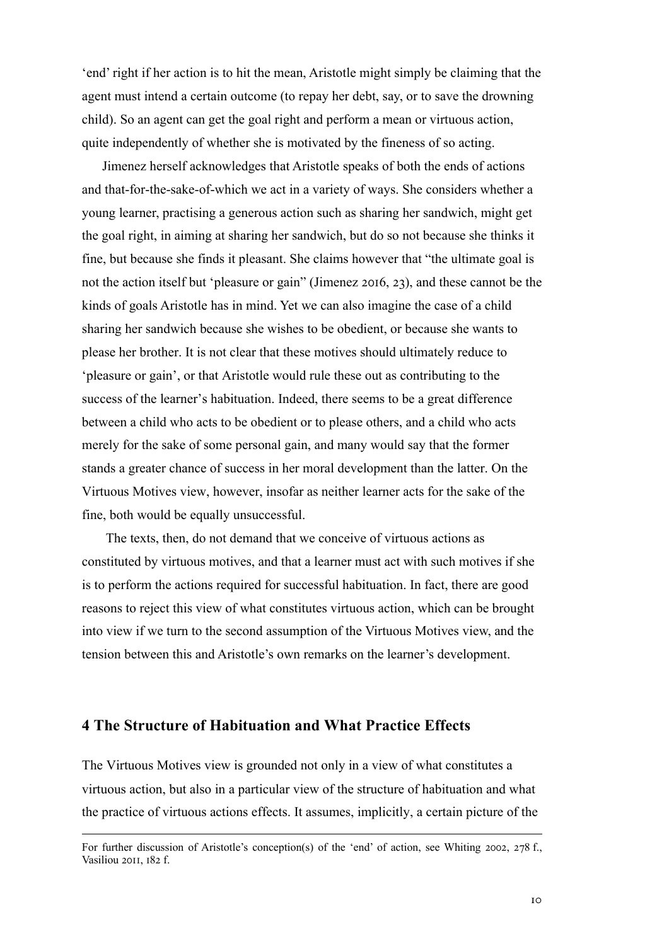'end' right if her action is to hit the mean, Aristotle might simply be claiming that the agent must intend a certain outcome (to repay her debt, say, or to save the drowning child). So an agent can get the goal right and perform a mean or virtuous action, quite independently of whether she is motivated by the fineness of so acting.

Jimenez herself acknowledges that Aristotle speaks of both the ends of actions and that-for-the-sake-of-which we act in a variety of ways. She considers whether a young learner, practising a generous action such as sharing her sandwich, might get the goal right, in aiming at sharing her sandwich, but do so not because she thinks it fine, but because she finds it pleasant. She claims however that "the ultimate goal is not the action itself but 'pleasure or gain" (Jimenez 2016, 23), and these cannot be the kinds of goals Aristotle has in mind. Yet we can also imagine the case of a child sharing her sandwich because she wishes to be obedient, or because she wants to please her brother. It is not clear that these motives should ultimately reduce to 'pleasure or gain', or that Aristotle would rule these out as contributing to the success of the learner's habituation. Indeed, there seems to be a great difference between a child who acts to be obedient or to please others, and a child who acts merely for the sake of some personal gain, and many would say that the former stands a greater chance of success in her moral development than the latter. On the Virtuous Motives view, however, insofar as neither learner acts for the sake of the fine, both would be equally unsuccessful.

The texts, then, do not demand that we conceive of virtuous actions as constituted by virtuous motives, and that a learner must act with such motives if she is to perform the actions required for successful habituation. In fact, there are good reasons to reject this view of what constitutes virtuous action, which can be brought into view if we turn to the second assumption of the Virtuous Motives view, and the tension between this and Aristotle's own remarks on the learner's development.

### **4 The Structure of Habituation and What Practice Effects**

The Virtuous Motives view is grounded not only in a view of what constitutes a virtuous action, but also in a particular view of the structure of habituation and what the practice of virtuous actions effects. It assumes, implicitly, a certain picture of the

For further discussion of Aristotle's conception(s) of the 'end' of action, see Whiting 2002, 278 f., Vasiliou 2011, 182 f.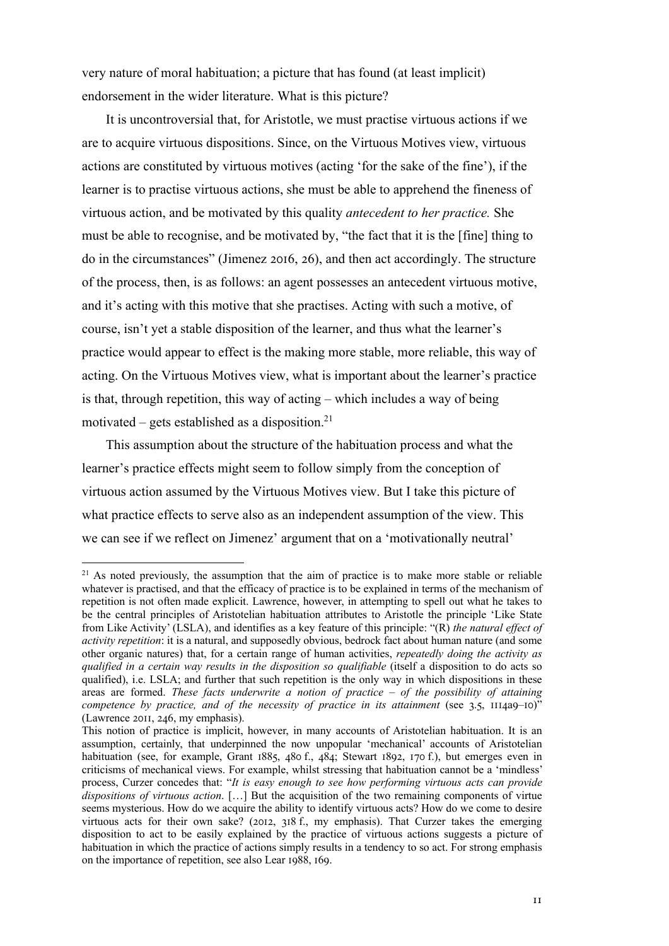very nature of moral habituation; a picture that has found (at least implicit) endorsement in the wider literature. What is this picture?

It is uncontroversial that, for Aristotle, we must practise virtuous actions if we are to acquire virtuous dispositions. Since, on the Virtuous Motives view, virtuous actions are constituted by virtuous motives (acting 'for the sake of the fine'), if the learner is to practise virtuous actions, she must be able to apprehend the fineness of virtuous action, and be motivated by this quality *antecedent to her practice.* She must be able to recognise, and be motivated by, "the fact that it is the [fine] thing to do in the circumstances" (Jimenez 2016, 26), and then act accordingly. The structure of the process, then, is as follows: an agent possesses an antecedent virtuous motive, and it's acting with this motive that she practises. Acting with such a motive, of course, isn't yet a stable disposition of the learner, and thus what the learner's practice would appear to effect is the making more stable, more reliable, this way of acting. On the Virtuous Motives view, what is important about the learner's practice is that, through repetition, this way of acting – which includes a way of being motivated – gets established as a disposition.<sup>21</sup>

This assumption about the structure of the habituation process and what the learner's practice effects might seem to follow simply from the conception of virtuous action assumed by the Virtuous Motives view. But I take this picture of what practice effects to serve also as an independent assumption of the view. This we can see if we reflect on Jimenez' argument that on a 'motivationally neutral'

 $2<sup>1</sup>$  As noted previously, the assumption that the aim of practice is to make more stable or reliable whatever is practised, and that the efficacy of practice is to be explained in terms of the mechanism of repetition is not often made explicit. Lawrence, however, in attempting to spell out what he takes to be the central principles of Aristotelian habituation attributes to Aristotle the principle 'Like State from Like Activity' (LSLA), and identifies as a key feature of this principle: "(R) *the natural effect of activity repetition*: it is a natural, and supposedly obvious, bedrock fact about human nature (and some other organic natures) that, for a certain range of human activities, *repeatedly doing the activity as qualified in a certain way results in the disposition so qualifiable* (itself a disposition to do acts so qualified), i.e. LSLA; and further that such repetition is the only way in which dispositions in these areas are formed. *These facts underwrite a notion of practice – of the possibility of attaining competence by practice, and of the necessity of practice in its attainment* (see 3.5, 1114a9–10)"  $(Lawrence 2011, 246, my emphasis).$ 

This notion of practice is implicit, however, in many accounts of Aristotelian habituation. It is an assumption, certainly, that underpinned the now unpopular 'mechanical' accounts of Aristotelian habituation (see, for example, Grant  $1885$ ,  $480$  f.,  $484$ ; Stewart  $1892$ ,  $170$  f.), but emerges even in criticisms of mechanical views. For example, whilst stressing that habituation cannot be a 'mindless' process, Curzer concedes that: "*It is easy enough to see how performing virtuous acts can provide dispositions of virtuous action*. […] But the acquisition of the two remaining components of virtue seems mysterious. How do we acquire the ability to identify virtuous acts? How do we come to desire virtuous acts for their own sake? (2012,  $318$  f., my emphasis). That Curzer takes the emerging disposition to act to be easily explained by the practice of virtuous actions suggests a picture of habituation in which the practice of actions simply results in a tendency to so act. For strong emphasis on the importance of repetition, see also Lear 1988, 169.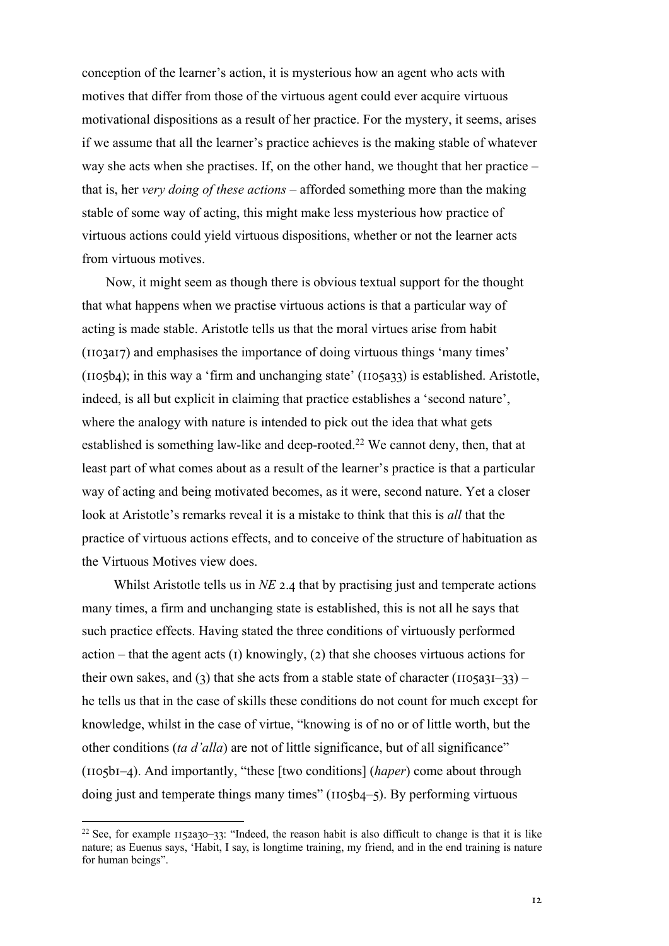conception of the learner's action, it is mysterious how an agent who acts with motives that differ from those of the virtuous agent could ever acquire virtuous motivational dispositions as a result of her practice. For the mystery, it seems, arises if we assume that all the learner's practice achieves is the making stable of whatever way she acts when she practises. If, on the other hand, we thought that her practice – that is, her *very doing of these actions* – afforded something more than the making stable of some way of acting, this might make less mysterious how practice of virtuous actions could yield virtuous dispositions, whether or not the learner acts from virtuous motives.

Now, it might seem as though there is obvious textual support for the thought that what happens when we practise virtuous actions is that a particular way of acting is made stable. Aristotle tells us that the moral virtues arise from habit (IIO3aI7) and emphasises the importance of doing virtuous things 'many times'  $(IIO5b4)$ ; in this way a 'firm and unchanging state'  $(IIO5a33)$  is established. Aristotle, indeed, is all but explicit in claiming that practice establishes a 'second nature', where the analogy with nature is intended to pick out the idea that what gets established is something law-like and deep-rooted.<sup>22</sup> We cannot deny, then, that at least part of what comes about as a result of the learner's practice is that a particular way of acting and being motivated becomes, as it were, second nature. Yet a closer look at Aristotle's remarks reveal it is a mistake to think that this is *all* that the practice of virtuous actions effects, and to conceive of the structure of habituation as the Virtuous Motives view does.

Whilst Aristotle tells us in  $NE$  2.4 that by practising just and temperate actions many times, a firm and unchanging state is established, this is not all he says that such practice effects. Having stated the three conditions of virtuously performed action – that the agent acts (I) knowingly, (2) that she chooses virtuous actions for their own sakes, and (3) that she acts from a stable state of character ( $1105a31-33$ ) – he tells us that in the case of skills these conditions do not count for much except for knowledge, whilst in the case of virtue, "knowing is of no or of little worth, but the other conditions (*ta d'alla*) are not of little significance, but of all significance"  $(II05bI-4)$ . And importantly, "these [two conditions] (*haper*) come about through doing just and temperate things many times" (IIO5b4–5). By performing virtuous

<sup>&</sup>lt;sup>22</sup> See, for example  $1152a30-33$ : "Indeed, the reason habit is also difficult to change is that it is like nature; as Euenus says, 'Habit, I say, is longtime training, my friend, and in the end training is nature for human beings".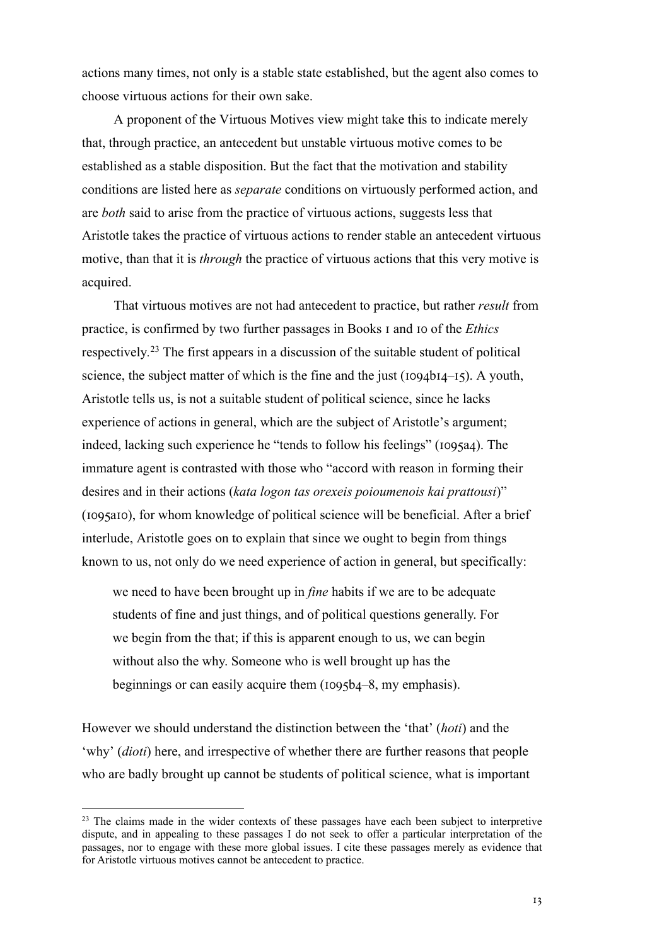actions many times, not only is a stable state established, but the agent also comes to choose virtuous actions for their own sake.

A proponent of the Virtuous Motives view might take this to indicate merely that, through practice, an antecedent but unstable virtuous motive comes to be established as a stable disposition. But the fact that the motivation and stability conditions are listed here as *separate* conditions on virtuously performed action, and are *both* said to arise from the practice of virtuous actions, suggests less that Aristotle takes the practice of virtuous actions to render stable an antecedent virtuous motive, than that it is *through* the practice of virtuous actions that this very motive is acquired.

That virtuous motives are not had antecedent to practice, but rather *result* from practice, is confirmed by two further passages in Books I and Io of the *Ethics* respectively*.* <sup>23</sup> The first appears in a discussion of the suitable student of political science, the subject matter of which is the fine and the just ( $I094bI4-I5$ ). A youth, Aristotle tells us, is not a suitable student of political science, since he lacks experience of actions in general, which are the subject of Aristotle's argument; indeed, lacking such experience he "tends to follow his feelings" (1095a4). The immature agent is contrasted with those who "accord with reason in forming their desires and in their actions (*kata logon tas orexeis poioumenois kai prattousi*)"  $(1095a10)$ , for whom knowledge of political science will be beneficial. After a brief interlude, Aristotle goes on to explain that since we ought to begin from things known to us, not only do we need experience of action in general, but specifically:

we need to have been brought up in *fine* habits if we are to be adequate students of fine and just things, and of political questions generally. For we begin from the that; if this is apparent enough to us, we can begin without also the why. Someone who is well brought up has the beginnings or can easily acquire them  $(1095b4–8, \text{my emphasis}).$ 

However we should understand the distinction between the 'that' (*hoti*) and the 'why' (*dioti*) here, and irrespective of whether there are further reasons that people who are badly brought up cannot be students of political science, what is important

<sup>&</sup>lt;sup>23</sup> The claims made in the wider contexts of these passages have each been subject to interpretive dispute, and in appealing to these passages I do not seek to offer a particular interpretation of the passages, nor to engage with these more global issues. I cite these passages merely as evidence that for Aristotle virtuous motives cannot be antecedent to practice.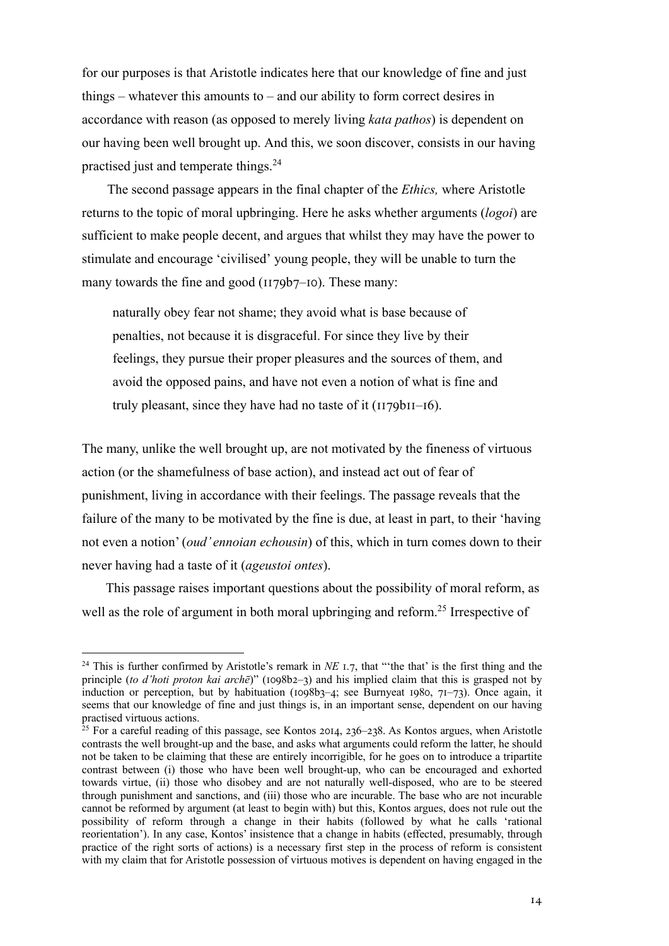for our purposes is that Aristotle indicates here that our knowledge of fine and just things – whatever this amounts to – and our ability to form correct desires in accordance with reason (as opposed to merely living *kata pathos*) is dependent on our having been well brought up. And this, we soon discover, consists in our having practised just and temperate things.24

The second passage appears in the final chapter of the *Ethics,* where Aristotle returns to the topic of moral upbringing. Here he asks whether arguments (*logoi*) are sufficient to make people decent, and argues that whilst they may have the power to stimulate and encourage 'civilised' young people, they will be unable to turn the many towards the fine and good  $(1179b7–10)$ . These many:

naturally obey fear not shame; they avoid what is base because of penalties, not because it is disgraceful. For since they live by their feelings, they pursue their proper pleasures and the sources of them, and avoid the opposed pains, and have not even a notion of what is fine and truly pleasant, since they have had no taste of it  $(1179b1I-16)$ .

The many, unlike the well brought up, are not motivated by the fineness of virtuous action (or the shamefulness of base action), and instead act out of fear of punishment, living in accordance with their feelings. The passage reveals that the failure of the many to be motivated by the fine is due, at least in part, to their 'having not even a notion' (*oud' ennoian echousin*) of this, which in turn comes down to their never having had a taste of it (*ageustoi ontes*).

This passage raises important questions about the possibility of moral reform, as well as the role of argument in both moral upbringing and reform.<sup>25</sup> Irrespective of

<sup>&</sup>lt;sup>24</sup> This is further confirmed by Aristotle's remark in *NE* 1.7, that "the that' is the first thing and the principle (*to d'hoti proton kai archē*)" (1098b2–3) and his implied claim that this is grasped not by induction or perception, but by habituation ( $1098b_7$ –4; see Burnyeat  $1980, 71–73$ ). Once again, it seems that our knowledge of fine and just things is, in an important sense, dependent on our having practised virtuous actions.

 $25$  For a careful reading of this passage, see Kontos 2014, 236–238. As Kontos argues, when Aristotle contrasts the well brought-up and the base, and asks what arguments could reform the latter, he should not be taken to be claiming that these are entirely incorrigible, for he goes on to introduce a tripartite contrast between (i) those who have been well brought-up, who can be encouraged and exhorted towards virtue, (ii) those who disobey and are not naturally well-disposed, who are to be steered through punishment and sanctions, and (iii) those who are incurable. The base who are not incurable cannot be reformed by argument (at least to begin with) but this, Kontos argues, does not rule out the possibility of reform through a change in their habits (followed by what he calls 'rational reorientation'). In any case, Kontos' insistence that a change in habits (effected, presumably, through practice of the right sorts of actions) is a necessary first step in the process of reform is consistent with my claim that for Aristotle possession of virtuous motives is dependent on having engaged in the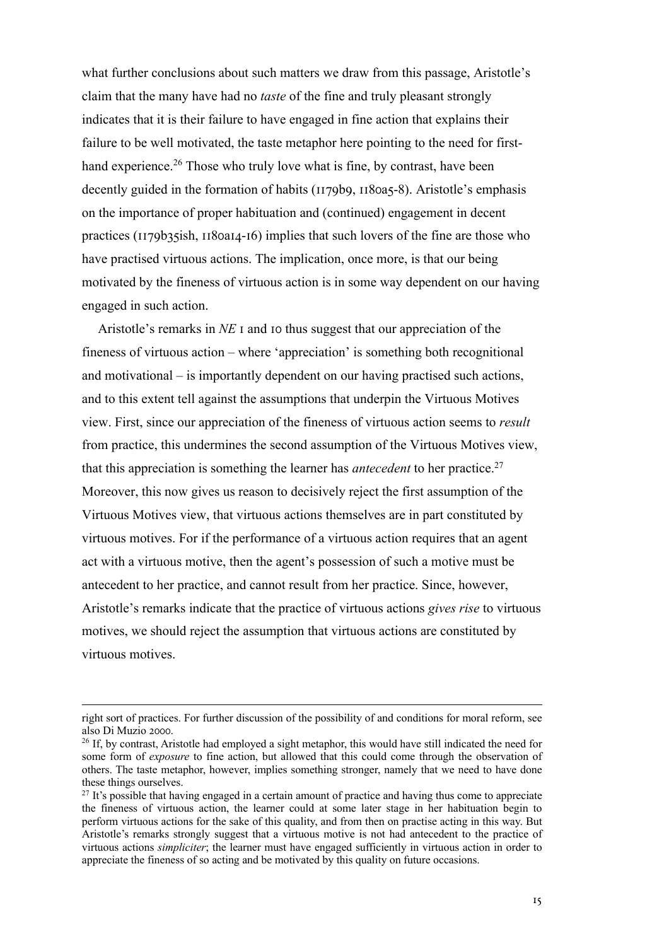what further conclusions about such matters we draw from this passage, Aristotle's claim that the many have had no *taste* of the fine and truly pleasant strongly indicates that it is their failure to have engaged in fine action that explains their failure to be well motivated, the taste metaphor here pointing to the need for firsthand experience.<sup>26</sup> Those who truly love what is fine, by contrast, have been decently guided in the formation of habits ( $1179b9$ ,  $1180a5-8$ ). Aristotle's emphasis on the importance of proper habituation and (continued) engagement in decent practices ( $1179b35ish$ ,  $1180a14-16$ ) implies that such lovers of the fine are those who have practised virtuous actions. The implication, once more, is that our being motivated by the fineness of virtuous action is in some way dependent on our having engaged in such action.

Aristotle's remarks in *NE* I and Io thus suggest that our appreciation of the fineness of virtuous action – where 'appreciation' is something both recognitional and motivational – is importantly dependent on our having practised such actions, and to this extent tell against the assumptions that underpin the Virtuous Motives view. First, since our appreciation of the fineness of virtuous action seems to *result*  from practice, this undermines the second assumption of the Virtuous Motives view, that this appreciation is something the learner has *antecedent* to her practice.27 Moreover, this now gives us reason to decisively reject the first assumption of the Virtuous Motives view, that virtuous actions themselves are in part constituted by virtuous motives. For if the performance of a virtuous action requires that an agent act with a virtuous motive, then the agent's possession of such a motive must be antecedent to her practice, and cannot result from her practice. Since, however, Aristotle's remarks indicate that the practice of virtuous actions *gives rise* to virtuous motives, we should reject the assumption that virtuous actions are constituted by virtuous motives.

right sort of practices. For further discussion of the possibility of and conditions for moral reform, see also Di Muzio 2000.<br><sup>26</sup> If, by contrast, Aristotle had employed a sight metaphor, this would have still indicated the need for

some form of *exposure* to fine action, but allowed that this could come through the observation of others. The taste metaphor, however, implies something stronger, namely that we need to have done these things ourselves.

 $27$  It's possible that having engaged in a certain amount of practice and having thus come to appreciate the fineness of virtuous action, the learner could at some later stage in her habituation begin to perform virtuous actions for the sake of this quality, and from then on practise acting in this way. But Aristotle's remarks strongly suggest that a virtuous motive is not had antecedent to the practice of virtuous actions *simpliciter*; the learner must have engaged sufficiently in virtuous action in order to appreciate the fineness of so acting and be motivated by this quality on future occasions.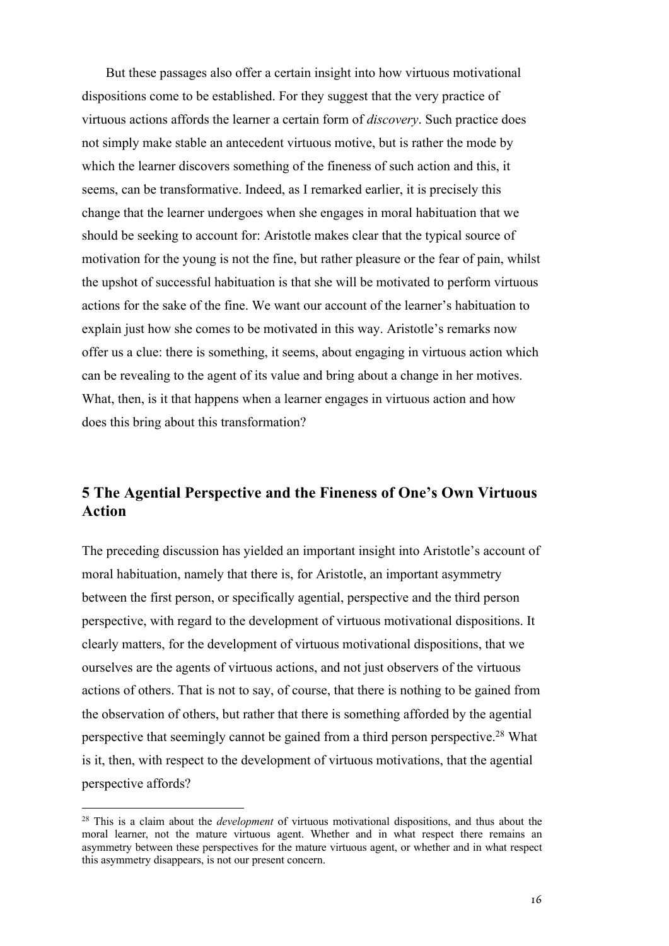But these passages also offer a certain insight into how virtuous motivational dispositions come to be established. For they suggest that the very practice of virtuous actions affords the learner a certain form of *discovery*. Such practice does not simply make stable an antecedent virtuous motive, but is rather the mode by which the learner discovers something of the fineness of such action and this, it seems, can be transformative. Indeed, as I remarked earlier, it is precisely this change that the learner undergoes when she engages in moral habituation that we should be seeking to account for: Aristotle makes clear that the typical source of motivation for the young is not the fine, but rather pleasure or the fear of pain, whilst the upshot of successful habituation is that she will be motivated to perform virtuous actions for the sake of the fine. We want our account of the learner's habituation to explain just how she comes to be motivated in this way. Aristotle's remarks now offer us a clue: there is something, it seems, about engaging in virtuous action which can be revealing to the agent of its value and bring about a change in her motives. What, then, is it that happens when a learner engages in virtuous action and how does this bring about this transformation?

## **5 The Agential Perspective and the Fineness of One's Own Virtuous Action**

The preceding discussion has yielded an important insight into Aristotle's account of moral habituation, namely that there is, for Aristotle, an important asymmetry between the first person, or specifically agential, perspective and the third person perspective, with regard to the development of virtuous motivational dispositions. It clearly matters, for the development of virtuous motivational dispositions, that we ourselves are the agents of virtuous actions, and not just observers of the virtuous actions of others. That is not to say, of course, that there is nothing to be gained from the observation of others, but rather that there is something afforded by the agential perspective that seemingly cannot be gained from a third person perspective.28 What is it, then, with respect to the development of virtuous motivations, that the agential perspective affords?

<sup>28</sup> This is a claim about the *development* of virtuous motivational dispositions, and thus about the moral learner, not the mature virtuous agent. Whether and in what respect there remains an asymmetry between these perspectives for the mature virtuous agent, or whether and in what respect this asymmetry disappears, is not our present concern.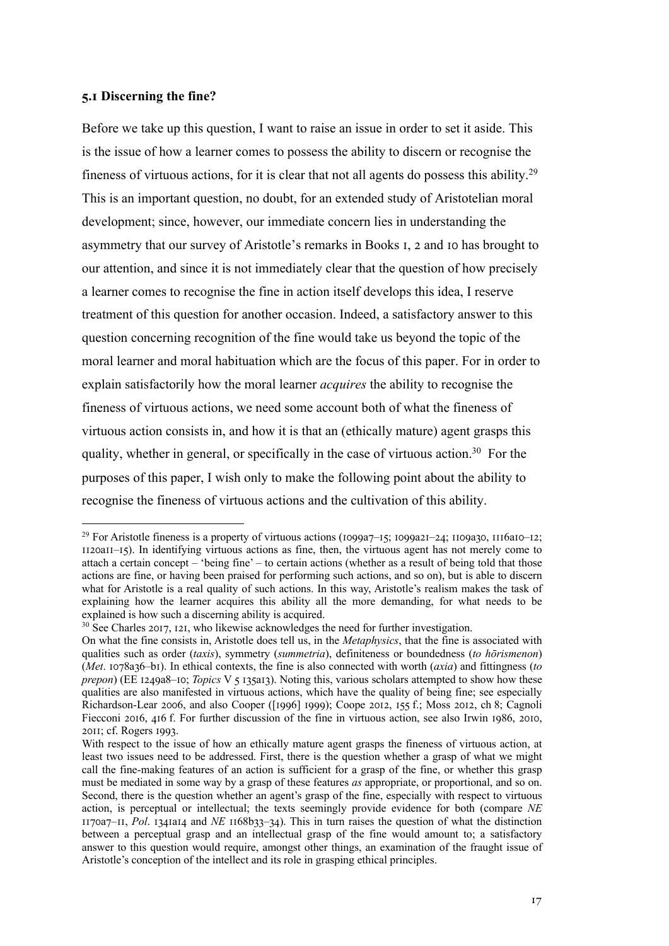#### **4.6 Discerning the fine?**

Before we take up this question, I want to raise an issue in order to set it aside. This is the issue of how a learner comes to possess the ability to discern or recognise the fineness of virtuous actions, for it is clear that not all agents do possess this ability.29 This is an important question, no doubt, for an extended study of Aristotelian moral development; since, however, our immediate concern lies in understanding the asymmetry that our survey of Aristotle's remarks in Books I, 2 and Io has brought to our attention, and since it is not immediately clear that the question of how precisely a learner comes to recognise the fine in action itself develops this idea, I reserve treatment of this question for another occasion. Indeed, a satisfactory answer to this question concerning recognition of the fine would take us beyond the topic of the moral learner and moral habituation which are the focus of this paper. For in order to explain satisfactorily how the moral learner *acquires* the ability to recognise the fineness of virtuous actions, we need some account both of what the fineness of virtuous action consists in, and how it is that an (ethically mature) agent grasps this quality, whether in general, or specifically in the case of virtuous action.<sup>30</sup> For the purposes of this paper, I wish only to make the following point about the ability to recognise the fineness of virtuous actions and the cultivation of this ability.

 $30$  See Charles 2017, 121, who likewise acknowledges the need for further investigation.

<sup>&</sup>lt;sup>29</sup> For Aristotle fineness is a property of virtuous actions ( $1099a7-15$ ;  $1099a21-24$ ;  $1109a30$ ,  $1116a10-12$ ;  $1120a1I-I5$ ). In identifying virtuous actions as fine, then, the virtuous agent has not merely come to attach a certain concept – 'being fine' – to certain actions (whether as a result of being told that those actions are fine, or having been praised for performing such actions, and so on), but is able to discern what for Aristotle is a real quality of such actions. In this way, Aristotle's realism makes the task of explaining how the learner acquires this ability all the more demanding, for what needs to be explained is how such a discerning ability is acquired.

On what the fine consists in, Aristotle does tell us, in the *Metaphysics*, that the fine is associated with qualities such as order (*taxis*), symmetry (*summetria*), definiteness or boundedness (*to hōrismenon*) (*Met*. 1078a36–b1). In ethical contexts, the fine is also connected with worth (*axia*) and fittingness (*to prepon*) (EE 1249a8–10; *Topics* V 5 135a13). Noting this, various scholars attempted to show how these qualities are also manifested in virtuous actions, which have the quality of being fine; see especially Richardson-Lear 2006, and also Cooper ([1996] 1999); Coope 2012, 155 f.; Moss 2012, ch 8; Cagnoli Fiecconi 2016, 416 f. For further discussion of the fine in virtuous action, see also Irwin 1986, 2010, 2011; cf. Rogers 1993.

With respect to the issue of how an ethically mature agent grasps the fineness of virtuous action, at least two issues need to be addressed. First, there is the question whether a grasp of what we might call the fine-making features of an action is sufficient for a grasp of the fine, or whether this grasp must be mediated in some way by a grasp of these features *as* appropriate, or proportional, and so on. Second, there is the question whether an agent's grasp of the fine, especially with respect to virtuous action, is perceptual or intellectual; the texts seemingly provide evidence for both (compare *NE*  1170a7-11, Pol. 1341a14 and *NE* 1168b33-34). This in turn raises the question of what the distinction between a perceptual grasp and an intellectual grasp of the fine would amount to; a satisfactory answer to this question would require, amongst other things, an examination of the fraught issue of Aristotle's conception of the intellect and its role in grasping ethical principles.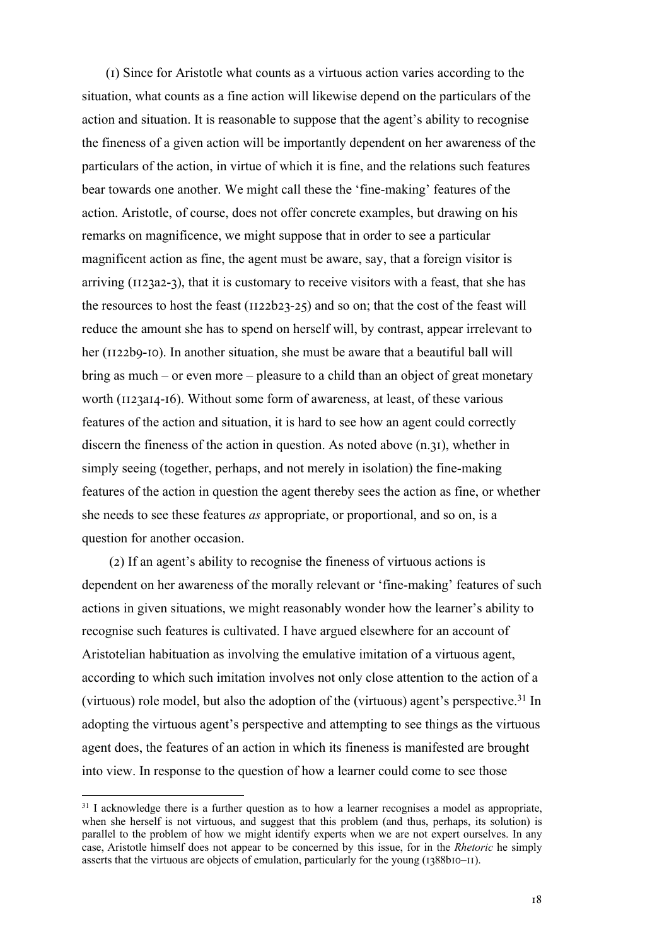(I) Since for Aristotle what counts as a virtuous action varies according to the situation, what counts as a fine action will likewise depend on the particulars of the action and situation. It is reasonable to suppose that the agent's ability to recognise the fineness of a given action will be importantly dependent on her awareness of the particulars of the action, in virtue of which it is fine, and the relations such features bear towards one another. We might call these the 'fine-making' features of the action. Aristotle, of course, does not offer concrete examples, but drawing on his remarks on magnificence, we might suppose that in order to see a particular magnificent action as fine, the agent must be aware, say, that a foreign visitor is arriving  $(1123a2-3)$ , that it is customary to receive visitors with a feast, that she has the resources to host the feast ( $\text{II22b23-25}$ ) and so on; that the cost of the feast will reduce the amount she has to spend on herself will, by contrast, appear irrelevant to her ( $1122b9-10$ ). In another situation, she must be aware that a beautiful ball will bring as much – or even more – pleasure to a child than an object of great monetary worth (II23aI4-I6). Without some form of awareness, at least, of these various features of the action and situation, it is hard to see how an agent could correctly discern the fineness of the action in question. As noted above  $(n.31)$ , whether in simply seeing (together, perhaps, and not merely in isolation) the fine-making features of the action in question the agent thereby sees the action as fine, or whether she needs to see these features *as* appropriate, or proportional, and so on, is a question for another occasion.

 $(2)$  If an agent's ability to recognise the fineness of virtuous actions is dependent on her awareness of the morally relevant or 'fine-making' features of such actions in given situations, we might reasonably wonder how the learner's ability to recognise such features is cultivated. I have argued elsewhere for an account of Aristotelian habituation as involving the emulative imitation of a virtuous agent, according to which such imitation involves not only close attention to the action of a (virtuous) role model, but also the adoption of the (virtuous) agent's perspective.<sup>31</sup> In adopting the virtuous agent's perspective and attempting to see things as the virtuous agent does, the features of an action in which its fineness is manifested are brought into view. In response to the question of how a learner could come to see those

<sup>&</sup>lt;sup>31</sup> I acknowledge there is a further question as to how a learner recognises a model as appropriate, when she herself is not virtuous, and suggest that this problem (and thus, perhaps, its solution) is parallel to the problem of how we might identify experts when we are not expert ourselves. In any case, Aristotle himself does not appear to be concerned by this issue, for in the *Rhetoric* he simply asserts that the virtuous are objects of emulation, particularly for the young  $(1388b10–H)$ .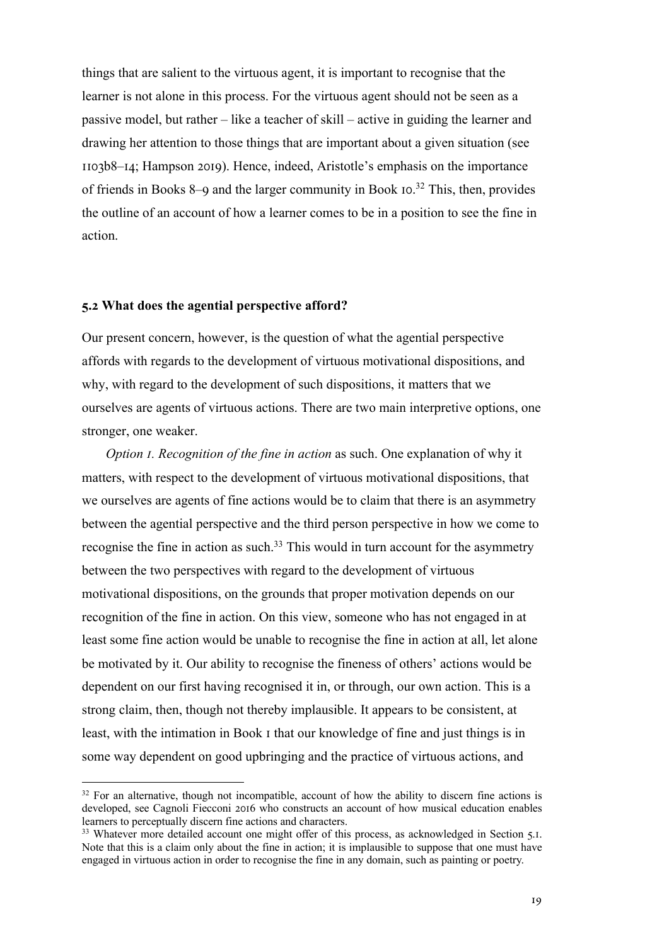things that are salient to the virtuous agent, it is important to recognise that the learner is not alone in this process. For the virtuous agent should not be seen as a passive model, but rather – like a teacher of skill – active in guiding the learner and drawing her attention to those things that are important about a given situation (see  $II$ o $3b8-14$ ; Hampson 2019). Hence, indeed, Aristotle's emphasis on the importance of friends in Books 8–9 and the larger community in Book  $I_0$ .<sup>32</sup> This, then, provides the outline of an account of how a learner comes to be in a position to see the fine in action.

#### **4.; What does the agential perspective afford?**

Our present concern, however, is the question of what the agential perspective affords with regards to the development of virtuous motivational dispositions, and why, with regard to the development of such dispositions, it matters that we ourselves are agents of virtuous actions. There are two main interpretive options, one stronger, one weaker.

*Option I. Recognition of the fine in action* as such. One explanation of why it matters, with respect to the development of virtuous motivational dispositions, that we ourselves are agents of fine actions would be to claim that there is an asymmetry between the agential perspective and the third person perspective in how we come to recognise the fine in action as such.33 This would in turn account for the asymmetry between the two perspectives with regard to the development of virtuous motivational dispositions, on the grounds that proper motivation depends on our recognition of the fine in action. On this view, someone who has not engaged in at least some fine action would be unable to recognise the fine in action at all, let alone be motivated by it. Our ability to recognise the fineness of others' actions would be dependent on our first having recognised it in, or through, our own action. This is a strong claim, then, though not thereby implausible. It appears to be consistent, at least, with the intimation in Book I that our knowledge of fine and just things is in some way dependent on good upbringing and the practice of virtuous actions, and

 $32$  For an alternative, though not incompatible, account of how the ability to discern fine actions is developed, see Cagnoli Fiecconi 2016 who constructs an account of how musical education enables learners to perceptually discern fine actions and characters.

<sup>&</sup>lt;sup>33</sup> Whatever more detailed account one might offer of this process, as acknowledged in Section 5.1. Note that this is a claim only about the fine in action; it is implausible to suppose that one must have engaged in virtuous action in order to recognise the fine in any domain, such as painting or poetry.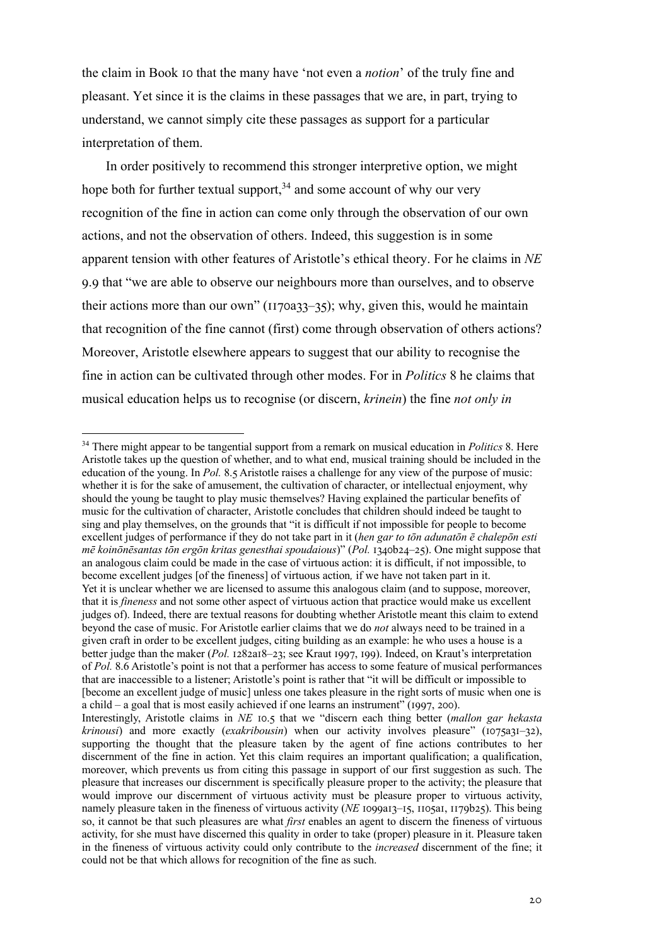the claim in Book Io that the many have 'not even a *notion*' of the truly fine and pleasant. Yet since it is the claims in these passages that we are, in part, trying to understand, we cannot simply cite these passages as support for a particular interpretation of them.

In order positively to recommend this stronger interpretive option, we might hope both for further textual support,  $34$  and some account of why our very recognition of the fine in action can come only through the observation of our own actions, and not the observation of others. Indeed, this suggestion is in some apparent tension with other features of Aristotle's ethical theory. For he claims in *NE*  9.9 that "we are able to observe our neighbours more than ourselves, and to observe their actions more than our own" ( $1170a33-35$ ); why, given this, would he maintain that recognition of the fine cannot (first) come through observation of others actions? Moreover, Aristotle elsewhere appears to suggest that our ability to recognise the fine in action can be cultivated through other modes. For in *Politics* 8 he claims that musical education helps us to recognise (or discern, *krinein*) the fine *not only in* 

<sup>&</sup>lt;sup>34</sup> There might appear to be tangential support from a remark on musical education in *Politics* 8. Here Aristotle takes up the question of whether, and to what end, musical training should be included in the education of the young. In *Pol.* 8.5 Aristotle raises a challenge for any view of the purpose of music: whether it is for the sake of amusement, the cultivation of character, or intellectual enjoyment, why should the young be taught to play music themselves? Having explained the particular benefits of music for the cultivation of character, Aristotle concludes that children should indeed be taught to sing and play themselves, on the grounds that "it is difficult if not impossible for people to become excellent judges of performance if they do not take part in it (*hen gar to tōn adunatōn ē chalepōn esti mē koinōnēsantas tōn ergōn kritas genesthai spoudaious*)" (Pol. 1340b24–25). One might suppose that an analogous claim could be made in the case of virtuous action: it is difficult, if not impossible, to become excellent judges [of the fineness] of virtuous action*,* if we have not taken part in it. Yet it is unclear whether we are licensed to assume this analogous claim (and to suppose, moreover, that it is *fineness* and not some other aspect of virtuous action that practice would make us excellent judges of). Indeed, there are textual reasons for doubting whether Aristotle meant this claim to extend beyond the case of music. For Aristotle earlier claims that we do *not* always need to be trained in a given craft in order to be excellent judges, citing building as an example: he who uses a house is a better judge than the maker (*Pol. 1282a18–23*; see Kraut 1997, 199). Indeed, on Kraut's interpretation of Pol. 8.6 Aristotle's point is not that a performer has access to some feature of musical performances that are inaccessible to a listener; Aristotle's point is rather that "it will be difficult or impossible to [become an excellent judge of music] unless one takes pleasure in the right sorts of music when one is a child – a goal that is most easily achieved if one learns an instrument" ( $1997, 200$ ). Interestingly, Aristotle claims in *NE* 10.5 that we "discern each thing better (*mallon gar hekasta krinousi*) and more exactly (*exakribousin*) when our activity involves pleasure" (1075a31-32), supporting the thought that the pleasure taken by the agent of fine actions contributes to her discernment of the fine in action. Yet this claim requires an important qualification; a qualification, moreover, which prevents us from citing this passage in support of our first suggestion as such. The pleasure that increases our discernment is specifically pleasure proper to the activity; the pleasure that would improve our discernment of virtuous activity must be pleasure proper to virtuous activity, namely pleasure taken in the fineness of virtuous activity (*NE* 1099a13–15, 1105a1, 1179b25). This being

so, it cannot be that such pleasures are what *first* enables an agent to discern the fineness of virtuous activity, for she must have discerned this quality in order to take (proper) pleasure in it. Pleasure taken in the fineness of virtuous activity could only contribute to the *increased* discernment of the fine; it could not be that which allows for recognition of the fine as such.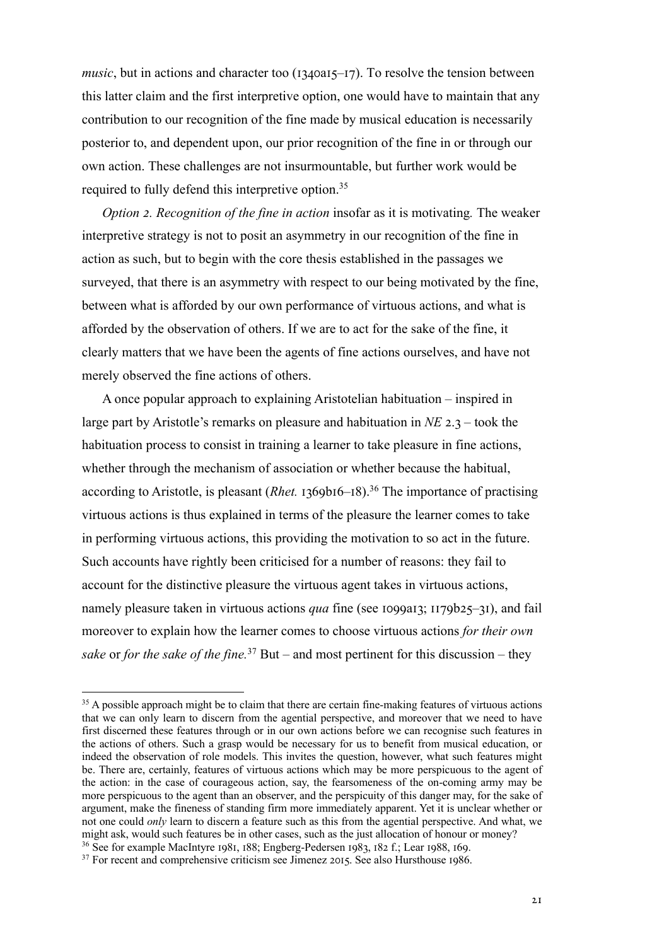*music*, but in actions and character too ( $I340aI5-I7$ ). To resolve the tension between this latter claim and the first interpretive option, one would have to maintain that any contribution to our recognition of the fine made by musical education is necessarily posterior to, and dependent upon, our prior recognition of the fine in or through our own action. These challenges are not insurmountable, but further work would be required to fully defend this interpretive option.<sup>35</sup>

*Option 2. Recognition of the fine in action* insofar as it is motivating. The weaker interpretive strategy is not to posit an asymmetry in our recognition of the fine in action as such, but to begin with the core thesis established in the passages we surveyed, that there is an asymmetry with respect to our being motivated by the fine, between what is afforded by our own performance of virtuous actions, and what is afforded by the observation of others. If we are to act for the sake of the fine, it clearly matters that we have been the agents of fine actions ourselves, and have not merely observed the fine actions of others.

A once popular approach to explaining Aristotelian habituation – inspired in large part by Aristotle's remarks on pleasure and habituation in  $NE$  2.3 – took the habituation process to consist in training a learner to take pleasure in fine actions, whether through the mechanism of association or whether because the habitual, according to Aristotle, is pleasant (*Rhet.* 1369b16–18).<sup>36</sup> The importance of practising virtuous actions is thus explained in terms of the pleasure the learner comes to take in performing virtuous actions, this providing the motivation to so act in the future. Such accounts have rightly been criticised for a number of reasons: they fail to account for the distinctive pleasure the virtuous agent takes in virtuous actions, namely pleasure taken in virtuous actions *qua* fine (see 1099a13; 1179b25–31), and fail moreover to explain how the learner comes to choose virtuous actions *for their own sake* or *for the sake of the fine.*<sup>37</sup> But – and most pertinent for this discussion – they

<sup>&</sup>lt;sup>35</sup> A possible approach might be to claim that there are certain fine-making features of virtuous actions that we can only learn to discern from the agential perspective, and moreover that we need to have first discerned these features through or in our own actions before we can recognise such features in the actions of others. Such a grasp would be necessary for us to benefit from musical education, or indeed the observation of role models. This invites the question, however, what such features might be. There are, certainly, features of virtuous actions which may be more perspicuous to the agent of the action: in the case of courageous action, say, the fearsomeness of the on-coming army may be more perspicuous to the agent than an observer, and the perspicuity of this danger may, for the sake of argument, make the fineness of standing firm more immediately apparent. Yet it is unclear whether or not one could *only* learn to discern a feature such as this from the agential perspective. And what, we might ask, would such features be in other cases, such as the just allocation of honour or money?

<sup>&</sup>lt;sup>36</sup> See for example MacIntyre 1981, 188; Engberg-Pedersen 1983, 182 f.; Lear 1988, 169.<br><sup>37</sup> For recent and comprehensive criticism see Jimenez 2015. See also Hursthouse 1986.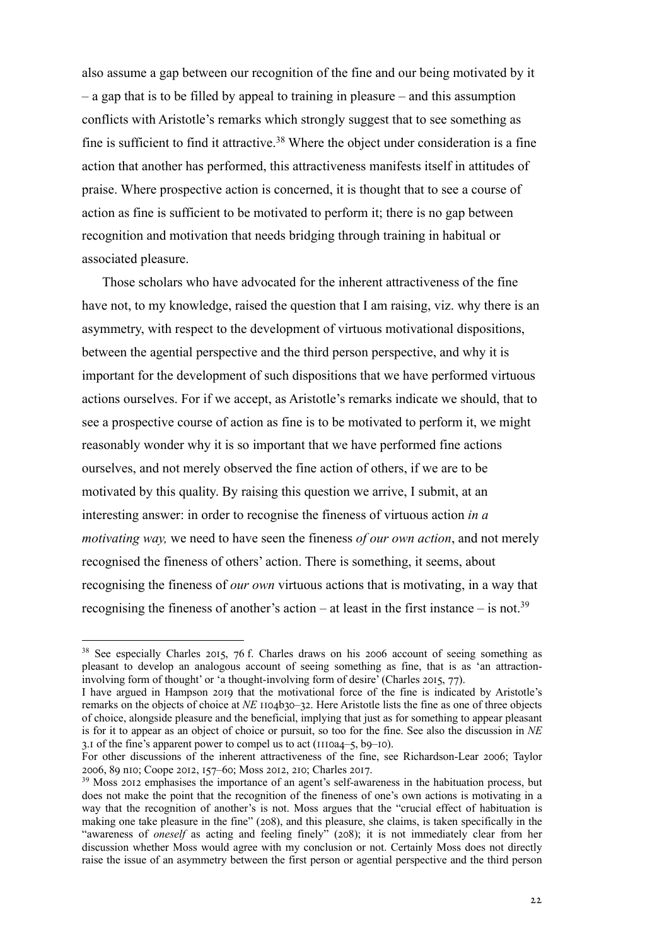also assume a gap between our recognition of the fine and our being motivated by it – a gap that is to be filled by appeal to training in pleasure – and this assumption conflicts with Aristotle's remarks which strongly suggest that to see something as fine is sufficient to find it attractive.<sup>38</sup> Where the object under consideration is a fine action that another has performed, this attractiveness manifests itself in attitudes of praise. Where prospective action is concerned, it is thought that to see a course of action as fine is sufficient to be motivated to perform it; there is no gap between recognition and motivation that needs bridging through training in habitual or associated pleasure.

Those scholars who have advocated for the inherent attractiveness of the fine have not, to my knowledge, raised the question that I am raising, viz. why there is an asymmetry, with respect to the development of virtuous motivational dispositions, between the agential perspective and the third person perspective, and why it is important for the development of such dispositions that we have performed virtuous actions ourselves. For if we accept, as Aristotle's remarks indicate we should, that to see a prospective course of action as fine is to be motivated to perform it, we might reasonably wonder why it is so important that we have performed fine actions ourselves, and not merely observed the fine action of others, if we are to be motivated by this quality. By raising this question we arrive, I submit, at an interesting answer: in order to recognise the fineness of virtuous action *in a motivating way,* we need to have seen the fineness *of our own action*, and not merely recognised the fineness of others' action. There is something, it seems, about recognising the fineness of *our own* virtuous actions that is motivating, in a way that recognising the fineness of another's action – at least in the first instance – is not.<sup>39</sup>

 $38$  See especially Charles 2015, 76 f. Charles draws on his 2006 account of seeing something as pleasant to develop an analogous account of seeing something as fine, that is as 'an attractioninvolving form of thought' or 'a thought-involving form of desire' (Charles 2015, 77).

I have argued in Hampson 2019 that the motivational force of the fine is indicated by Aristotle's remarks on the objects of choice at *NE* 1104b30–32. Here Aristotle lists the fine as one of three objects of choice, alongside pleasure and the beneficial, implying that just as for something to appear pleasant is for it to appear as an object of choice or pursuit, so too for the fine. See also the discussion in *NE*  3.1 of the fine's apparent power to compel us to act ( $\text{III0a4--5, b9--10}$ ).

For other discussions of the inherent attractiveness of the fine, see Richardson-Lear 2006; Taylor 2006, 89 n10; Coope 2012, 157-60; Moss 2012, 210; Charles 2017.

<sup>&</sup>lt;sup>39</sup> Moss 2012 emphasises the importance of an agent's self-awareness in the habituation process, but does not make the point that the recognition of the fineness of one's own actions is motivating in a way that the recognition of another's is not. Moss argues that the "crucial effect of habituation is making one take pleasure in the fine" (208), and this pleasure, she claims, is taken specifically in the "awareness of *oneself* as acting and feeling finely" (208); it is not immediately clear from her discussion whether Moss would agree with my conclusion or not. Certainly Moss does not directly raise the issue of an asymmetry between the first person or agential perspective and the third person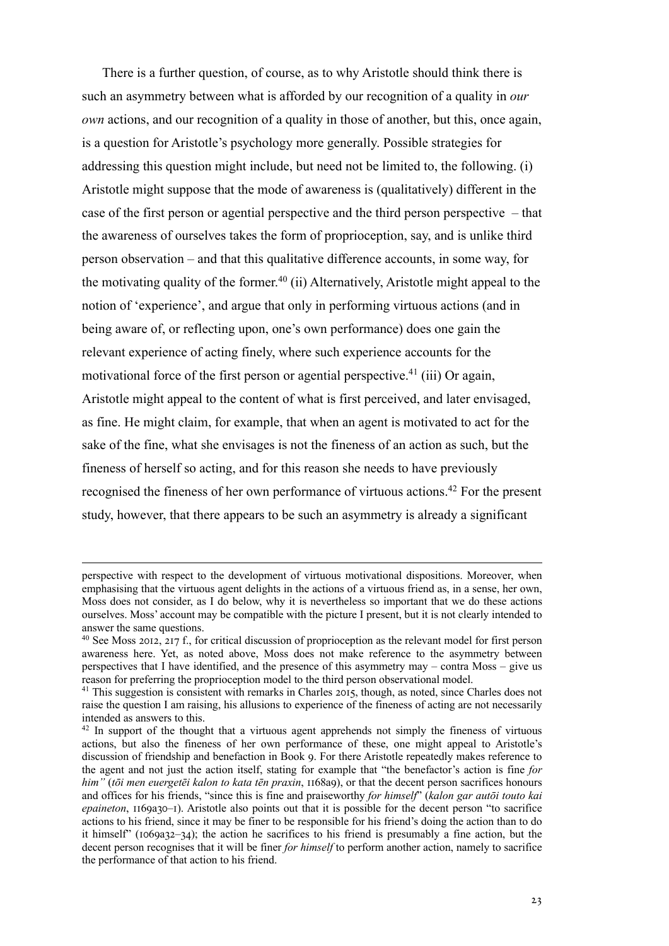There is a further question, of course, as to why Aristotle should think there is such an asymmetry between what is afforded by our recognition of a quality in *our own* actions, and our recognition of a quality in those of another, but this, once again, is a question for Aristotle's psychology more generally. Possible strategies for addressing this question might include, but need not be limited to, the following. (i) Aristotle might suppose that the mode of awareness is (qualitatively) different in the case of the first person or agential perspective and the third person perspective – that the awareness of ourselves takes the form of proprioception, say, and is unlike third person observation – and that this qualitative difference accounts, in some way, for the motivating quality of the former.<sup>40</sup> (ii) Alternatively, Aristotle might appeal to the notion of 'experience', and argue that only in performing virtuous actions (and in being aware of, or reflecting upon, one's own performance) does one gain the relevant experience of acting finely, where such experience accounts for the motivational force of the first person or agential perspective.<sup>41</sup> (iii) Or again, Aristotle might appeal to the content of what is first perceived, and later envisaged, as fine. He might claim, for example, that when an agent is motivated to act for the sake of the fine, what she envisages is not the fineness of an action as such, but the fineness of herself so acting, and for this reason she needs to have previously recognised the fineness of her own performance of virtuous actions.<sup>42</sup> For the present study, however, that there appears to be such an asymmetry is already a significant

perspective with respect to the development of virtuous motivational dispositions. Moreover, when emphasising that the virtuous agent delights in the actions of a virtuous friend as, in a sense, her own, Moss does not consider, as I do below, why it is nevertheless so important that we do these actions ourselves. Moss' account may be compatible with the picture I present, but it is not clearly intended to answer the same questions.

 $40$  See Moss 2012, 217 f., for critical discussion of proprioception as the relevant model for first person awareness here. Yet, as noted above, Moss does not make reference to the asymmetry between perspectives that I have identified, and the presence of this asymmetry may – contra Moss – give us reason for preferring the proprioception model to the third person observational model.

 $41$  This suggestion is consistent with remarks in Charles 2015, though, as noted, since Charles does not raise the question I am raising, his allusions to experience of the fineness of acting are not necessarily intended as answers to this.

<sup>&</sup>lt;sup>42</sup> In support of the thought that a virtuous agent apprehends not simply the fineness of virtuous actions, but also the fineness of her own performance of these, one might appeal to Aristotle's discussion of friendship and benefaction in Book 9. For there Aristotle repeatedly makes reference to the agent and not just the action itself, stating for example that "the benefactor's action is fine *for him"* (*tōi men euergetēi kalon to kata tēn praxin*, 1168a9), or that the decent person sacrifices honours and offices for his friends, "since this is fine and praiseworthy *for himself*" (*kalon gar autōi touto kai epaineton*, 1169a30–1). Aristotle also points out that it is possible for the decent person "to sacrifice actions to his friend, since it may be finer to be responsible for his friend's doing the action than to do it himself" ( $1069a32-34$ ); the action he sacrifices to his friend is presumably a fine action, but the decent person recognises that it will be finer *for himself* to perform another action, namely to sacrifice the performance of that action to his friend.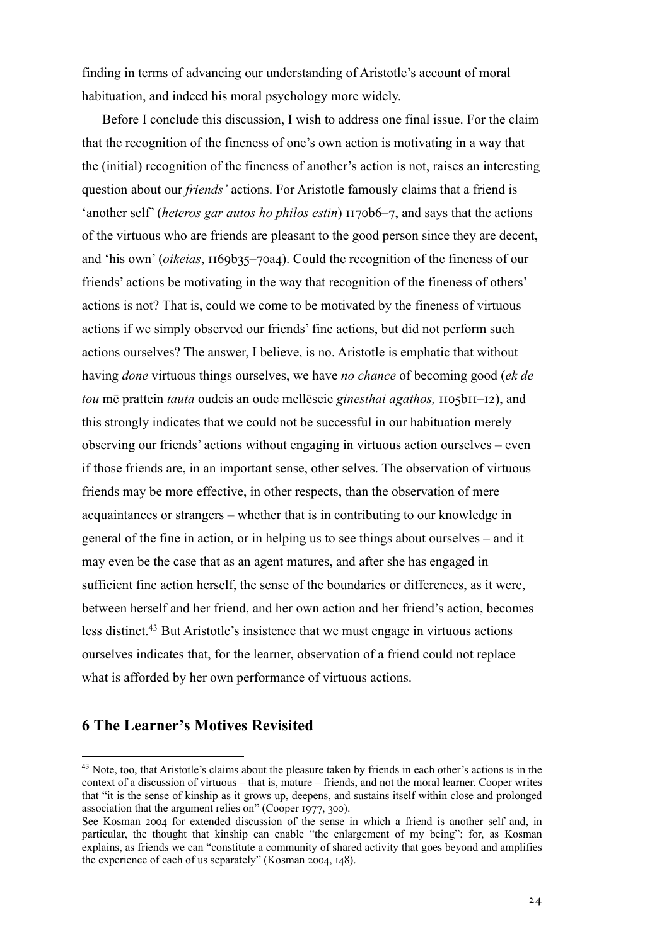finding in terms of advancing our understanding of Aristotle's account of moral habituation, and indeed his moral psychology more widely.

Before I conclude this discussion, I wish to address one final issue. For the claim that the recognition of the fineness of one's own action is motivating in a way that the (initial) recognition of the fineness of another's action is not, raises an interesting question about our *friends'* actions. For Aristotle famously claims that a friend is 'another self' (*heteros gar autos ho philos estin*)  $117$ ob6–7, and says that the actions of the virtuous who are friends are pleasant to the good person since they are decent, and 'his own' (*oikeias*, 1169b35–70a4). Could the recognition of the fineness of our friends' actions be motivating in the way that recognition of the fineness of others' actions is not? That is, could we come to be motivated by the fineness of virtuous actions if we simply observed our friends' fine actions, but did not perform such actions ourselves? The answer, I believe, is no. Aristotle is emphatic that without having *done* virtuous things ourselves, we have *no chance* of becoming good (*ek de tou* mē prattein *tauta* oudeis an oude mellēseie *ginesthai agathos*, 1105b11–12), and this strongly indicates that we could not be successful in our habituation merely observing our friends' actions without engaging in virtuous action ourselves – even if those friends are, in an important sense, other selves. The observation of virtuous friends may be more effective, in other respects, than the observation of mere acquaintances or strangers – whether that is in contributing to our knowledge in general of the fine in action, or in helping us to see things about ourselves – and it may even be the case that as an agent matures, and after she has engaged in sufficient fine action herself, the sense of the boundaries or differences, as it were, between herself and her friend, and her own action and her friend's action, becomes less distinct.43 But Aristotle's insistence that we must engage in virtuous actions ourselves indicates that, for the learner, observation of a friend could not replace what is afforded by her own performance of virtuous actions.

## **6 The Learner's Motives Revisited**

<sup>&</sup>lt;sup>43</sup> Note, too, that Aristotle's claims about the pleasure taken by friends in each other's actions is in the context of a discussion of virtuous – that is, mature – friends, and not the moral learner. Cooper writes that "it is the sense of kinship as it grows up, deepens, and sustains itself within close and prolonged association that the argument relies on" (Cooper  $1977$ , 300).

See Kosman 2004 for extended discussion of the sense in which a friend is another self and, in particular, the thought that kinship can enable "the enlargement of my being"; for, as Kosman explains, as friends we can "constitute a community of shared activity that goes beyond and amplifies the experience of each of us separately" (Kosman 2004,  $148$ ).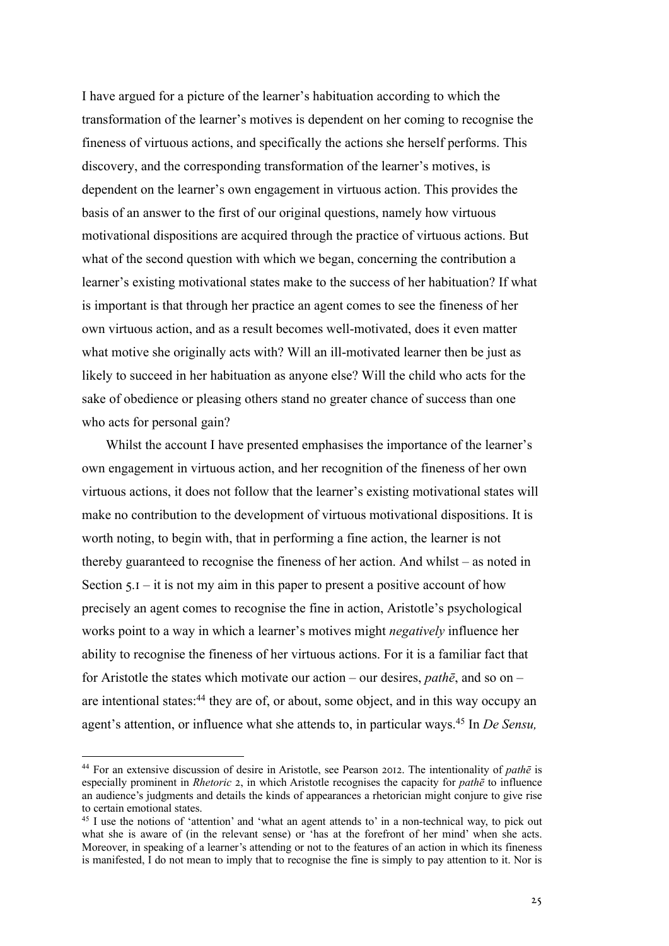I have argued for a picture of the learner's habituation according to which the transformation of the learner's motives is dependent on her coming to recognise the fineness of virtuous actions, and specifically the actions she herself performs. This discovery, and the corresponding transformation of the learner's motives, is dependent on the learner's own engagement in virtuous action. This provides the basis of an answer to the first of our original questions, namely how virtuous motivational dispositions are acquired through the practice of virtuous actions. But what of the second question with which we began, concerning the contribution a learner's existing motivational states make to the success of her habituation? If what is important is that through her practice an agent comes to see the fineness of her own virtuous action, and as a result becomes well-motivated, does it even matter what motive she originally acts with? Will an ill-motivated learner then be just as likely to succeed in her habituation as anyone else? Will the child who acts for the sake of obedience or pleasing others stand no greater chance of success than one who acts for personal gain?

Whilst the account I have presented emphasises the importance of the learner's own engagement in virtuous action, and her recognition of the fineness of her own virtuous actions, it does not follow that the learner's existing motivational states will make no contribution to the development of virtuous motivational dispositions. It is worth noting, to begin with, that in performing a fine action, the learner is not thereby guaranteed to recognise the fineness of her action. And whilst – as noted in Section  $5.1 - it$  is not my aim in this paper to present a positive account of how precisely an agent comes to recognise the fine in action, Aristotle's psychological works point to a way in which a learner's motives might *negatively* influence her ability to recognise the fineness of her virtuous actions. For it is a familiar fact that for Aristotle the states which motivate our action – our desires, *pathē*, and so on – are intentional states:<sup>44</sup> they are of, or about, some object, and in this way occupy an agent's attention, or influence what she attends to, in particular ways.45 In *De Sensu,* 

<sup>&</sup>lt;sup>44</sup> For an extensive discussion of desire in Aristotle, see Pearson 2012. The intentionality of *pathe* is especially prominent in *Rhetoric* 2, in which Aristotle recognises the capacity for *pathe* to influence an audience's judgments and details the kinds of appearances a rhetorician might conjure to give rise to certain emotional states.

<sup>&</sup>lt;sup>45</sup> I use the notions of 'attention' and 'what an agent attends to' in a non-technical way, to pick out what she is aware of (in the relevant sense) or 'has at the forefront of her mind' when she acts. Moreover, in speaking of a learner's attending or not to the features of an action in which its fineness is manifested, I do not mean to imply that to recognise the fine is simply to pay attention to it. Nor is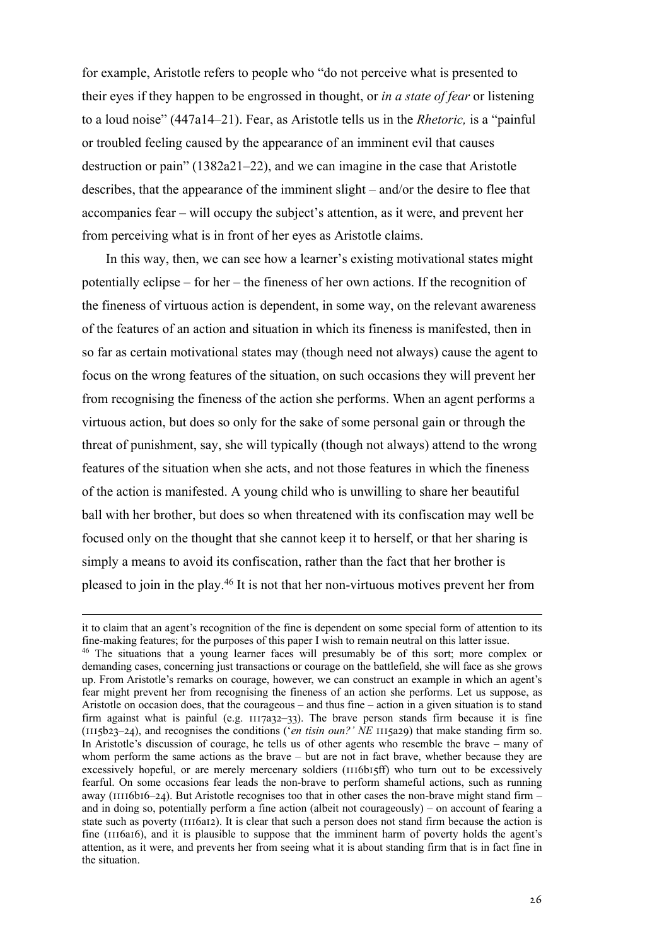for example, Aristotle refers to people who "do not perceive what is presented to their eyes if they happen to be engrossed in thought, or *in a state of fear* or listening to a loud noise" (447a14–21). Fear, as Aristotle tells us in the *Rhetoric,* is a "painful or troubled feeling caused by the appearance of an imminent evil that causes destruction or pain" (1382a21–22), and we can imagine in the case that Aristotle describes, that the appearance of the imminent slight – and/or the desire to flee that accompanies fear – will occupy the subject's attention, as it were, and prevent her from perceiving what is in front of her eyes as Aristotle claims.

In this way, then, we can see how a learner's existing motivational states might potentially eclipse – for her – the fineness of her own actions. If the recognition of the fineness of virtuous action is dependent, in some way, on the relevant awareness of the features of an action and situation in which its fineness is manifested, then in so far as certain motivational states may (though need not always) cause the agent to focus on the wrong features of the situation, on such occasions they will prevent her from recognising the fineness of the action she performs. When an agent performs a virtuous action, but does so only for the sake of some personal gain or through the threat of punishment, say, she will typically (though not always) attend to the wrong features of the situation when she acts, and not those features in which the fineness of the action is manifested. A young child who is unwilling to share her beautiful ball with her brother, but does so when threatened with its confiscation may well be focused only on the thought that she cannot keep it to herself, or that her sharing is simply a means to avoid its confiscation, rather than the fact that her brother is pleased to join in the play.46 It is not that her non-virtuous motives prevent her from

it to claim that an agent's recognition of the fine is dependent on some special form of attention to its fine-making features; for the purposes of this paper I wish to remain neutral on this latter issue.

<sup>46</sup> The situations that a young learner faces will presumably be of this sort; more complex or demanding cases, concerning just transactions or courage on the battlefield, she will face as she grows up. From Aristotle's remarks on courage, however, we can construct an example in which an agent's fear might prevent her from recognising the fineness of an action she performs. Let us suppose, as Aristotle on occasion does, that the courageous – and thus fine – action in a given situation is to stand firm against what is painful (e.g.  $III7a32-33$ ). The brave person stands firm because it is fine ( $1115b23-24$ ), and recognises the conditions ('*en tisin oun?'*  $\overline{NE}$   $1115a29$ ) that make standing firm so. In Aristotle's discussion of courage, he tells us of other agents who resemble the brave – many of whom perform the same actions as the brave – but are not in fact brave, whether because they are excessively hopeful, or are merely mercenary soldiers ( $\text{III(b015ff)}$ ) who turn out to be excessively fearful. On some occasions fear leads the non-brave to perform shameful actions, such as running away ( $11116b16-24$ ). But Aristotle recognises too that in other cases the non-brave might stand firm – and in doing so, potentially perform a fine action (albeit not courageously) – on account of fearing a state such as poverty ( $\text{III6a12}$ ). It is clear that such a person does not stand firm because the action is fine (III6aI6), and it is plausible to suppose that the imminent harm of poverty holds the agent's attention, as it were, and prevents her from seeing what it is about standing firm that is in fact fine in the situation.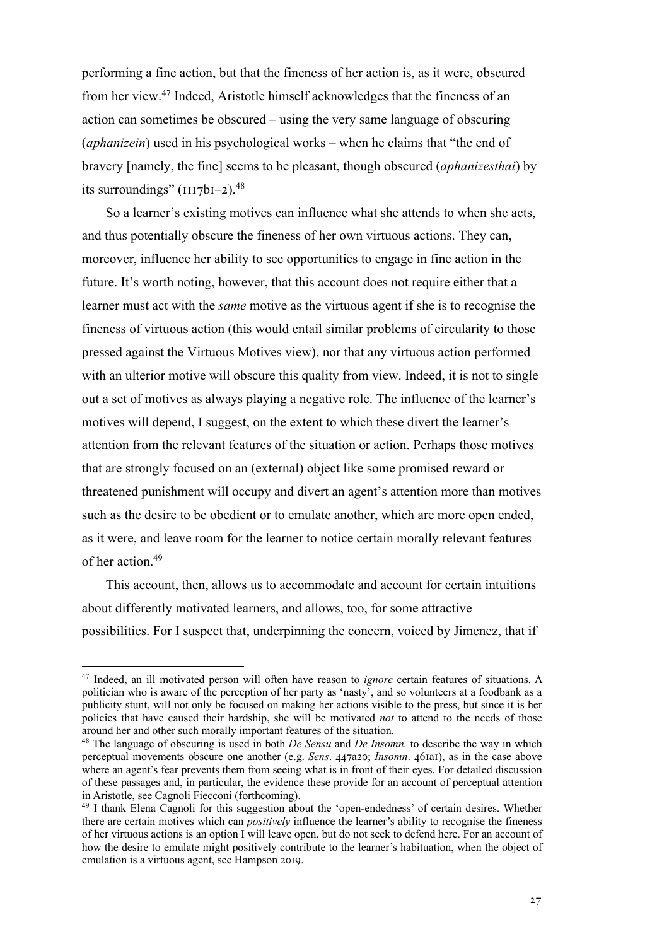performing a fine action, but that the fineness of her action is, as it were, obscured from her view.47 Indeed, Aristotle himself acknowledges that the fineness of an action can sometimes be obscured – using the very same language of obscuring (*aphanizein*) used in his psychological works – when he claims that "the end of bravery [namely, the fine] seems to be pleasant, though obscured (*aphanizesthai*) by its surroundings"  $(III7bI-2).$ <sup>48</sup>

So a learner's existing motives can influence what she attends to when she acts, and thus potentially obscure the fineness of her own virtuous actions. They can, moreover, influence her ability to see opportunities to engage in fine action in the future. It's worth noting, however, that this account does not require either that a learner must act with the *same* motive as the virtuous agent if she is to recognise the fineness of virtuous action (this would entail similar problems of circularity to those pressed against the Virtuous Motives view), nor that any virtuous action performed with an ulterior motive will obscure this quality from view. Indeed, it is not to single out a set of motives as always playing a negative role. The influence of the learner's motives will depend, I suggest, on the extent to which these divert the learner's attention from the relevant features of the situation or action. Perhaps those motives that are strongly focused on an (external) object like some promised reward or threatened punishment will occupy and divert an agent's attention more than motives such as the desire to be obedient or to emulate another, which are more open ended, as it were, and leave room for the learner to notice certain morally relevant features of her action.49

This account, then, allows us to accommodate and account for certain intuitions about differently motivated learners, and allows, too, for some attractive possibilities. For I suspect that, underpinning the concern, voiced by Jimenez, that if

<sup>47</sup> Indeed, an ill motivated person will often have reason to *ignore* certain features of situations. A politician who is aware of the perception of her party as 'nasty', and so volunteers at a foodbank as a publicity stunt, will not only be focused on making her actions visible to the press, but since it is her policies that have caused their hardship, she will be motivated *not* to attend to the needs of those around her and other such morally important features of the situation.

<sup>48</sup> The language of obscuring is used in both *De Sensu* and *De Insomn.* to describe the way in which perceptual movements obscure one another (e.g. *Sens. 447a2o; Insomn. 46faaf*), as in the case above where an agent's fear prevents them from seeing what is in front of their eyes. For detailed discussion of these passages and, in particular, the evidence these provide for an account of perceptual attention in Aristotle, see Cagnoli Fiecconi (forthcoming).

<sup>49</sup> I thank Elena Cagnoli for this suggestion about the 'open-endedness' of certain desires. Whether there are certain motives which can *positively* influence the learner's ability to recognise the fineness of her virtuous actions is an option I will leave open, but do not seek to defend here. For an account of how the desire to emulate might positively contribute to the learner's habituation, when the object of emulation is a virtuous agent, see Hampson 2019.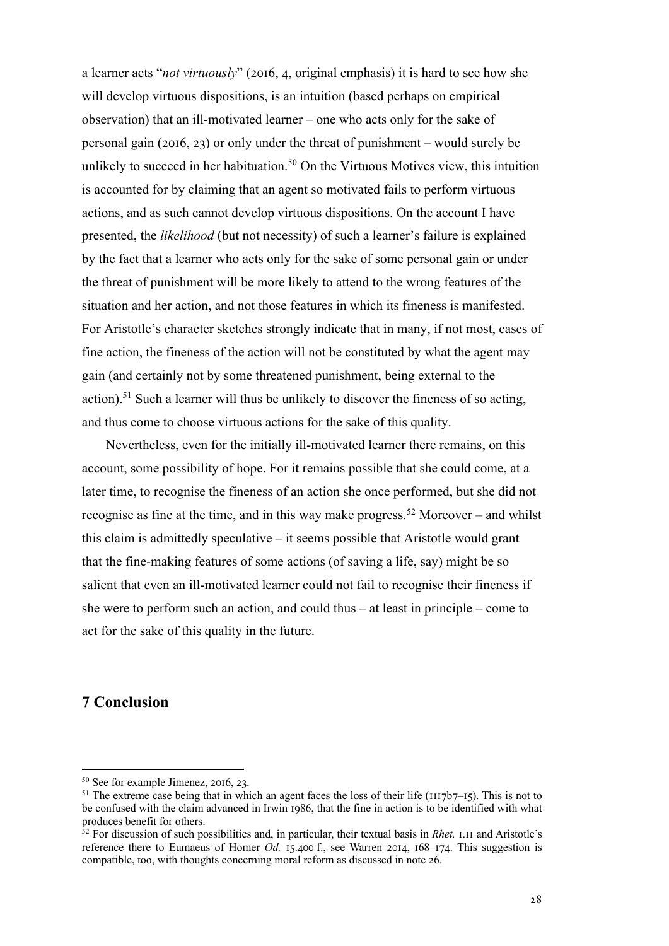a learner acts "*not virtuously*" (2016, 4, original emphasis) it is hard to see how she will develop virtuous dispositions, is an intuition (based perhaps on empirical observation) that an ill-motivated learner – one who acts only for the sake of personal gain (2016, 23) or only under the threat of punishment – would surely be unlikely to succeed in her habituation.<sup>50</sup> On the Virtuous Motives view, this intuition is accounted for by claiming that an agent so motivated fails to perform virtuous actions, and as such cannot develop virtuous dispositions. On the account I have presented, the *likelihood* (but not necessity) of such a learner's failure is explained by the fact that a learner who acts only for the sake of some personal gain or under the threat of punishment will be more likely to attend to the wrong features of the situation and her action, and not those features in which its fineness is manifested. For Aristotle's character sketches strongly indicate that in many, if not most, cases of fine action, the fineness of the action will not be constituted by what the agent may gain (and certainly not by some threatened punishment, being external to the action).<sup>51</sup> Such a learner will thus be unlikely to discover the fineness of so acting, and thus come to choose virtuous actions for the sake of this quality.

Nevertheless, even for the initially ill-motivated learner there remains, on this account, some possibility of hope. For it remains possible that she could come, at a later time, to recognise the fineness of an action she once performed, but she did not recognise as fine at the time, and in this way make progress.<sup>52</sup> Moreover – and whilst this claim is admittedly speculative – it seems possible that Aristotle would grant that the fine-making features of some actions (of saving a life, say) might be so salient that even an ill-motivated learner could not fail to recognise their fineness if she were to perform such an action, and could thus – at least in principle – come to act for the sake of this quality in the future.

## **7 Conclusion**

 $50$  See for example Jimenez, 2016, 23.

<sup>&</sup>lt;sup>51</sup> The extreme case being that in which an agent faces the loss of their life ( $1117b7$ – $15$ ). This is not to be confused with the claim advanced in Irwin 1986, that the fine in action is to be identified with what produces benefit for others.

<sup>&</sup>lt;sup>52</sup> For discussion of such possibilities and, in particular, their textual basis in *Rhet*. *A.II* and Aristotle's reference there to Eumaeus of Homer *Od.* 15.400 f., see Warren 2014, 168-174. This suggestion is compatible, too, with thoughts concerning moral reform as discussed in note 26.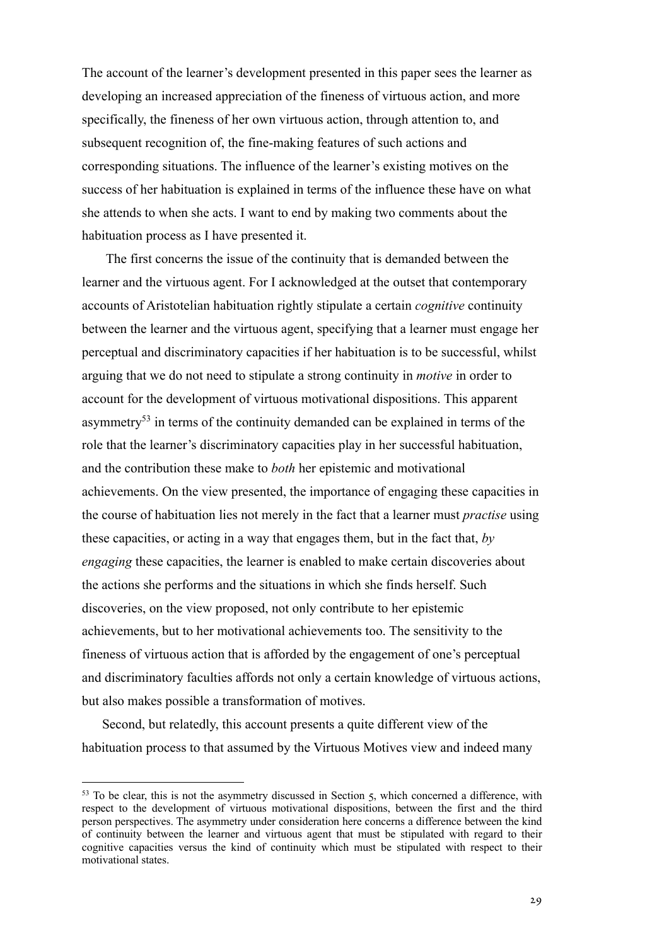The account of the learner's development presented in this paper sees the learner as developing an increased appreciation of the fineness of virtuous action, and more specifically, the fineness of her own virtuous action, through attention to, and subsequent recognition of, the fine-making features of such actions and corresponding situations. The influence of the learner's existing motives on the success of her habituation is explained in terms of the influence these have on what she attends to when she acts. I want to end by making two comments about the habituation process as I have presented it.

The first concerns the issue of the continuity that is demanded between the learner and the virtuous agent. For I acknowledged at the outset that contemporary accounts of Aristotelian habituation rightly stipulate a certain *cognitive* continuity between the learner and the virtuous agent, specifying that a learner must engage her perceptual and discriminatory capacities if her habituation is to be successful, whilst arguing that we do not need to stipulate a strong continuity in *motive* in order to account for the development of virtuous motivational dispositions. This apparent asymmetry<sup>53</sup> in terms of the continuity demanded can be explained in terms of the role that the learner's discriminatory capacities play in her successful habituation, and the contribution these make to *both* her epistemic and motivational achievements. On the view presented, the importance of engaging these capacities in the course of habituation lies not merely in the fact that a learner must *practise* using these capacities, or acting in a way that engages them, but in the fact that, *by engaging* these capacities, the learner is enabled to make certain discoveries about the actions she performs and the situations in which she finds herself. Such discoveries, on the view proposed, not only contribute to her epistemic achievements, but to her motivational achievements too. The sensitivity to the fineness of virtuous action that is afforded by the engagement of one's perceptual and discriminatory faculties affords not only a certain knowledge of virtuous actions, but also makes possible a transformation of motives.

Second, but relatedly, this account presents a quite different view of the habituation process to that assumed by the Virtuous Motives view and indeed many

 $53$  To be clear, this is not the asymmetry discussed in Section  $\zeta$ , which concerned a difference, with respect to the development of virtuous motivational dispositions, between the first and the third person perspectives. The asymmetry under consideration here concerns a difference between the kind of continuity between the learner and virtuous agent that must be stipulated with regard to their cognitive capacities versus the kind of continuity which must be stipulated with respect to their motivational states.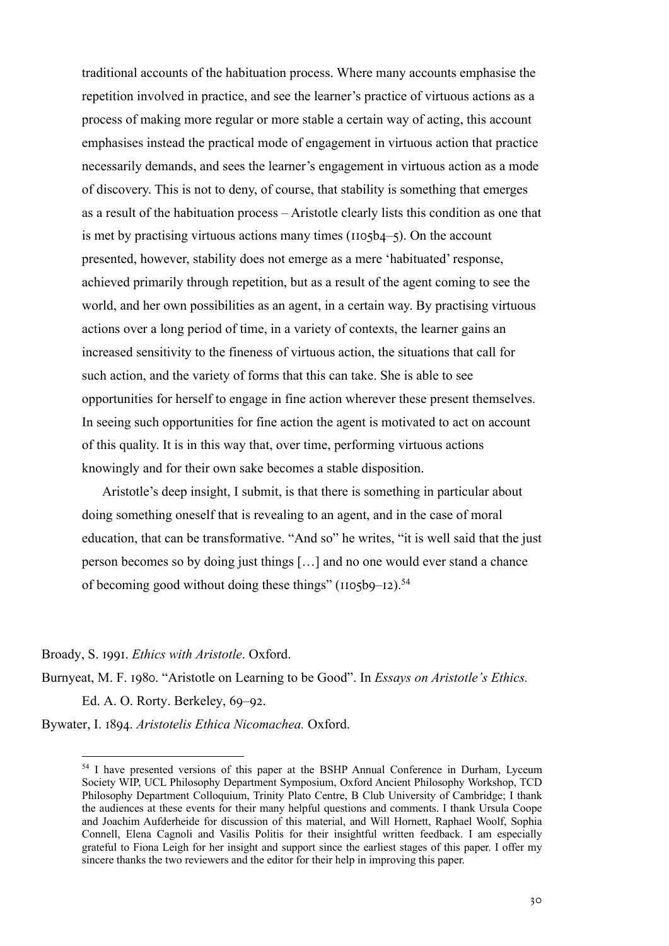traditional accounts of the habituation process. Where many accounts emphasise the repetition involved in practice, and see the learner's practice of virtuous actions as a process of making more regular or more stable a certain way of acting, this account emphasises instead the practical mode of engagement in virtuous action that practice necessarily demands, and sees the learner's engagement in virtuous action as a mode of discovery. This is not to deny, of course, that stability is something that emerges as a result of the habituation process – Aristotle clearly lists this condition as one that is met by practising virtuous actions many times  $(1105b4-5)$ . On the account presented, however, stability does not emerge as a mere 'habituated' response, achieved primarily through repetition, but as a result of the agent coming to see the world, and her own possibilities as an agent, in a certain way. By practising virtuous actions over a long period of time, in a variety of contexts, the learner gains an increased sensitivity to the fineness of virtuous action, the situations that call for such action, and the variety of forms that this can take. She is able to see opportunities for herself to engage in fine action wherever these present themselves. In seeing such opportunities for fine action the agent is motivated to act on account of this quality. It is in this way that, over time, performing virtuous actions knowingly and for their own sake becomes a stable disposition.

Aristotle's deep insight, I submit, is that there is something in particular about doing something oneself that is revealing to an agent, and in the case of moral education, that can be transformative. "And so" he writes, "it is well said that the just person becomes so by doing just things […] and no one would ever stand a chance of becoming good without doing these things" ( $1105b9-12$ ).<sup>54</sup>

### Broady, S. 1991. *Ethics with Aristotle*. Oxford.

Burnyeat, M. F. 1980. "Aristotle on Learning to be Good". In *Essays on Aristotle's Ethics*. Ed. A. O. Rorty. Berkeley, 69–92.

Bywater, I. 1894. *Aristotelis Ethica Nicomachea*. Oxford.

<sup>&</sup>lt;sup>54</sup> I have presented versions of this paper at the BSHP Annual Conference in Durham, Lyceum Society WIP, UCL Philosophy Department Symposium, Oxford Ancient Philosophy Workshop, TCD Philosophy Department Colloquium, Trinity Plato Centre, B Club University of Cambridge; I thank the audiences at these events for their many helpful questions and comments. I thank Ursula Coope and Joachim Aufderheide for discussion of this material, and Will Hornett, Raphael Woolf, Sophia Connell, Elena Cagnoli and Vasilis Politis for their insightful written feedback. I am especially grateful to Fiona Leigh for her insight and support since the earliest stages of this paper. I offer my sincere thanks the two reviewers and the editor for their help in improving this paper.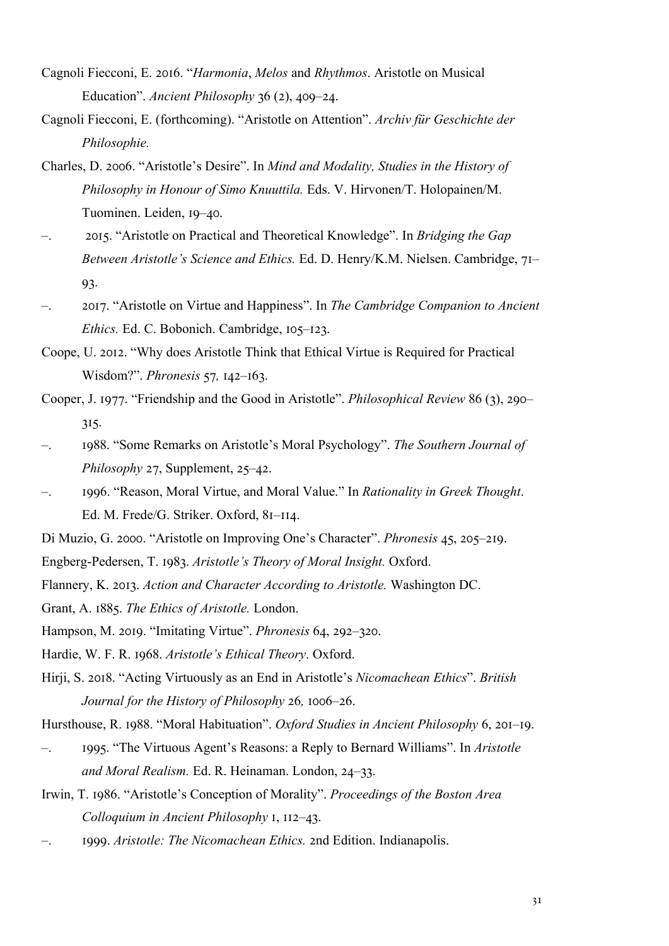- Cagnoli Fiecconi, E. 2016. "*Harmonia, Melos* and *Rhythmos*. Aristotle on Musical Education". *Ancient Philosophy* 36 (2), 409–24.
- Cagnoli Fiecconi, E. (forthcoming). "Aristotle on Attention". *Archiv für Geschichte der Philosophie.*
- Charles, D. 2006. "Aristotle's Desire". In *Mind and Modality, Studies in the History of Philosophy in Honour of Simo Knuuttila.* Eds. V. Hirvonen/T. Holopainen/M. Tuominen. Leiden, 19-40.
- –. ;JIK. "Aristotle on Practical and Theoretical Knowledge". In *Bridging the Gap Between Aristotle's Science and Ethics. Ed. D. Henry/K.M. Nielsen. Cambridge, 71*– 93.
- –. ;JIN. "Aristotle on Virtue and Happiness". In *The Cambridge Companion to Ancient Ethics.* Ed. C. Bobonich. Cambridge, 105–123.
- Coope, U. 2012. "Why does Aristotle Think that Ethical Virtue is Required for Practical Wisdom?". *Phronesis* 57, 142–163.
- Cooper, J. 1977. "Friendship and the Good in Aristotle". *Philosophical Review* 86 (3), 290– 315.
- –. Iabb. "Some Remarks on Aristotle's Moral Psychology". *The Southern Journal of Philosophy* 27, Supplement, 25–42.
- $-$ . Igg6. "Reason, Moral Virtue, and Moral Value." In *Rationality in Greek Thought*. Ed. M. Frede/G. Striker. Oxford, 81-114.
- Di Muzio, G. 2000. "Aristotle on Improving One's Character". *Phronesis* 45, 205–219.
- Engberg-Pedersen, T. 1983. *Aristotle's Theory of Moral Insight*. Oxford.
- Flannery, K. 2013. *Action and Character According to Aristotle*. Washington DC.
- Grant, A. 1885. *The Ethics of Aristotle*. London.
- Hampson, M. 2019. "Imitating Virtue". *Phronesis* 64, 292-320.
- Hardie, W. F. R. 1968. Aristotle's Ethical Theory. Oxford.
- Hirji, S. 2018. "Acting Virtuously as an End in Aristotle's *Nicomachean Ethics*". *British Journal for the History of Philosophy 26, 1006–26.*

Hursthouse, R. 1988. "Moral Habituation". *Oxford Studies in Ancient Philosophy* 6, 201–19.

- –. IaaK. "The Virtuous Agent's Reasons: a Reply to Bernard Williams". In *Aristotle and Moral Realism.* Ed. R. Heinaman. London, 24-33.
- Irwin, T. 1986. "Aristotle's Conception of Morality". *Proceedings of the Boston Area Colloquium in Ancient Philosophy I, II2-43.*
- –. 1999. *Aristotle: The Nicomachean Ethics.* 2nd Edition. Indianapolis.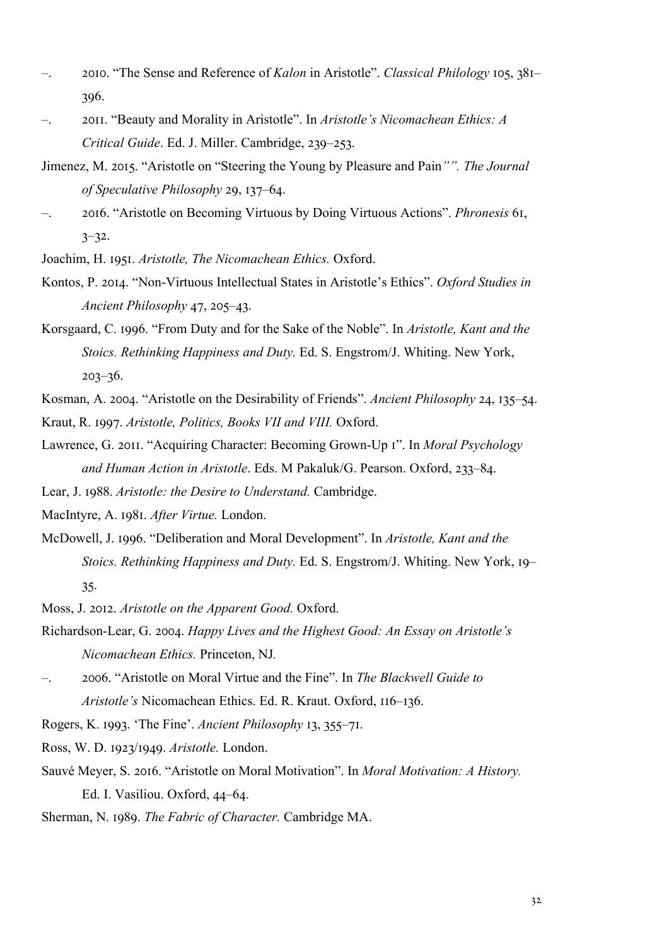- 2010. "The Sense and Reference of *Kalon* in Aristotle". *Classical Philology* 105, 381– 396.
- –. ;JII. "Beauty and Morality in Aristotle". In *Aristotle's Nicomachean Ethics: A Critical Guide.* Ed. J. Miller. Cambridge, 239–253.
- Jimenez, M. 2015. "Aristotle on "Steering the Young by Pleasure and Pain"". The Journal *of Speculative Philosophy* 29, 137–64.
- –. ;JIO. "Aristotle on Becoming Virtuous by Doing Virtuous Actions". *Phronesis* OI,  $3 - 32.$
- Joachim, H. 1951. *Aristotle, The Nicomachean Ethics*. Oxford.
- Kontos, P. 2014. "Non-Virtuous Intellectual States in Aristotle's Ethics". *Oxford Studies in Ancient Philosophy* 47, 205–43.
- Korsgaard, C. 1996. "From Duty and for the Sake of the Noble". In *Aristotle, Kant and the Stoics. Rethinking Happiness and Duty.* Ed. S. Engstrom/J. Whiting. New York,  $203 - 36.$

Kosman, A. 2004. "Aristotle on the Desirability of Friends". *Ancient Philosophy* 24, 135–54.

- Kraut, R. 1997. *Aristotle, Politics, Books VII and VIII*. Oxford.
- Lawrence, G. 2011. "Acquiring Character: Becoming Grown-Up I". In *Moral Psychology and Human Action in Aristotle*. Eds. M Pakaluk/G. Pearson. Oxford, 233-84.
- Lear, J. 1988. *Aristotle: the Desire to Understand.* Cambridge.

MacIntyre, A. 1981. After Virtue. London.

McDowell, J. 1996. "Deliberation and Moral Development". In *Aristotle, Kant and the Stoics. Rethinking Happiness and Duty.* Ed. S. Engstrom/J. Whiting. New York, 19– 35.

Moss, J. 2012. *Aristotle on the Apparent Good.* Oxford.

- Richardson-Lear, G. 2004. *Happy Lives and the Highest Good: An Essay on Aristotle's Nicomachean Ethics.* Princeton, NJ*.*
- –. ;JJO. "Aristotle on Moral Virtue and the Fine". In *The Blackwell Guide to Aristotle's* Nicomachean Ethics. Ed. R. Kraut. Oxford, 116-136.

Rogers, K. 1993. 'The Fine'. *Ancient Philosophy* 13, 355–71.

Ross, W. D. 1923/1949. *Aristotle*. London.

- Sauvé Meyer, S. 2016. "Aristotle on Moral Motivation". In *Moral Motivation: A History.* Ed. I. Vasiliou. Oxford,  $44-64$ .
- Sherman, N. 1989. *The Fabric of Character*. Cambridge MA.